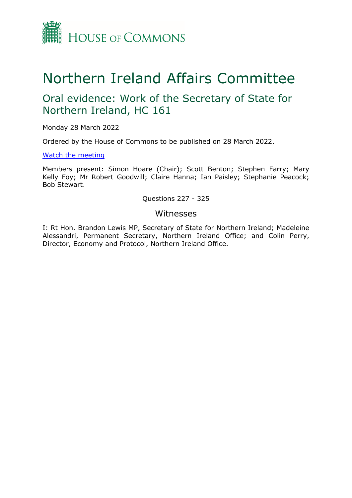

# Northern Ireland Affairs Committee

## Oral evidence: Work of the Secretary of State for Northern Ireland, HC 161

Monday 28 March 2022

Ordered by the House of Commons to be published on 28 March 2022.

## [Watch](https://parliamentlive.tv/event/index/d52e8647-464e-478f-b8e0-3501b2ac31ea) [the](https://parliamentlive.tv/event/index/d52e8647-464e-478f-b8e0-3501b2ac31ea) [meeting](https://parliamentlive.tv/event/index/d52e8647-464e-478f-b8e0-3501b2ac31ea)

Members present: Simon Hoare (Chair); Scott Benton; Stephen Farry; Mary Kelly Foy; Mr Robert Goodwill; Claire Hanna; Ian Paisley; Stephanie Peacock; Bob Stewart.

## Questions 227 - 325

## Witnesses

I: Rt Hon. Brandon Lewis MP, Secretary of State for Northern Ireland; Madeleine Alessandri, Permanent Secretary, Northern Ireland Office; and Colin Perry, Director, Economy and Protocol, Northern Ireland Office.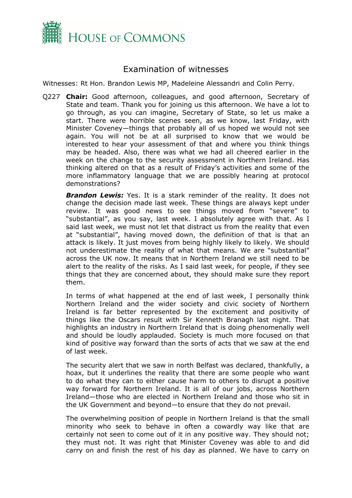

## Examination of witnesses

Witnesses: Rt Hon. Brandon Lewis MP, Madeleine Alessandri and Colin Perry.

Q227 **Chair:** Good afternoon, colleagues, and good afternoon, Secretary of State and team. Thank you for joining us this afternoon. We have a lot to go through, as you can imagine, Secretary of State, so let us make a start. There were horrible scenes seen, as we know, last Friday, with Minister Coveney—things that probably all of us hoped we would not see again. You will not be at all surprised to know that we would be interested to hear your assessment of that and where you think things may be headed. Also, there was what we had all cheered earlier in the week on the change to the security assessment in Northern Ireland. Has thinking altered on that as a result of Friday's activities and some of the more inflammatory language that we are possibly hearing at protocol demonstrations?

*Brandon Lewis:* Yes. It is a stark reminder of the reality. It does not change the decision made last week. These things are always kept under review. It was good news to see things moved from "severe" to "substantial", as you say, last week. I absolutely agree with that. As I said last week, we must not let that distract us from the reality that even at "substantial", having moved down, the definition of that is that an attack is likely. It just moves from being highly likely to likely. We should not underestimate the reality of what that means. We are "substantial" across the UK now. It means that in Northern Ireland we still need to be alert to the reality of the risks. As I said last week, for people, if they see things that they are concerned about, they should make sure they report them.

In terms of what happened at the end of last week, I personally think Northern Ireland and the wider society and civic society of Northern Ireland is far better represented by the excitement and positivity of things like the Oscars result with Sir Kenneth Branagh last night. That highlights an industry in Northern Ireland that is doing phenomenally well and should be loudly applauded. Society is much more focused on that kind of positive way forward than the sorts of acts that we saw at the end of last week.

The security alert that we saw in north Belfast was declared, thankfully, a hoax, but it underlines the reality that there are some people who want to do what they can to either cause harm to others to disrupt a positive way forward for Northern Ireland. It is all of our jobs, across Northern Ireland—those who are elected in Northern Ireland and those who sit in the UK Government and beyond—to ensure that they do not prevail.

The overwhelming position of people in Northern Ireland is that the small minority who seek to behave in often a cowardly way like that are certainly not seen to come out of it in any positive way. They should not; they must not. It was right that Minister Coveney was able to and did carry on and finish the rest of his day as planned. We have to carry on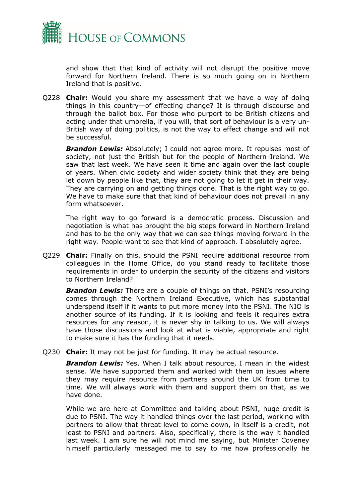

and show that that kind of activity will not disrupt the positive move forward for Northern Ireland. There is so much going on in Northern Ireland that is positive.

Q228 **Chair:** Would you share my assessment that we have a way of doing things in this country—of effecting change? It is through discourse and through the ballot box. For those who purport to be British citizens and acting under that umbrella, if you will, that sort of behaviour is a very un-British way of doing politics, is not the way to effect change and will not be successful.

*Brandon Lewis:* Absolutely; I could not agree more. It repulses most of society, not just the British but for the people of Northern Ireland. We saw that last week. We have seen it time and again over the last couple of years. When civic society and wider society think that they are being let down by people like that, they are not going to let it get in their way. They are carrying on and getting things done. That is the right way to go. We have to make sure that that kind of behaviour does not prevail in any form whatsoever.

The right way to go forward is a democratic process. Discussion and negotiation is what has brought the big steps forward in Northern Ireland and has to be the only way that we can see things moving forward in the right way. People want to see that kind of approach. I absolutely agree.

Q229 **Chair:** Finally on this, should the PSNI require additional resource from colleagues in the Home Office, do you stand ready to facilitate those requirements in order to underpin the security of the citizens and visitors to Northern Ireland?

*Brandon Lewis:* There are a couple of things on that. PSNI's resourcing comes through the Northern Ireland Executive, which has substantial underspend itself if it wants to put more money into the PSNI. The NIO is another source of its funding. If it is looking and feels it requires extra resources for any reason, it is never shy in talking to us. We will always have those discussions and look at what is viable, appropriate and right to make sure it has the funding that it needs.

Q230 **Chair:** It may not be just for funding. It may be actual resource.

*Brandon Lewis:* Yes. When I talk about resource, I mean in the widest sense. We have supported them and worked with them on issues where they may require resource from partners around the UK from time to time. We will always work with them and support them on that, as we have done.

While we are here at Committee and talking about PSNI, huge credit is due to PSNI. The way it handled things over the last period, working with partners to allow that threat level to come down, in itself is a credit, not least to PSNI and partners. Also, specifically, there is the way it handled last week. I am sure he will not mind me saying, but Minister Coveney himself particularly messaged me to say to me how professionally he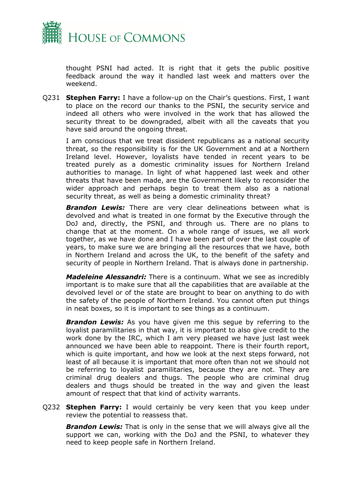

thought PSNI had acted. It is right that it gets the public positive feedback around the way it handled last week and matters over the weekend.

Q231 **Stephen Farry:** I have a follow-up on the Chair's questions. First, I want to place on the record our thanks to the PSNI, the security service and indeed all others who were involved in the work that has allowed the security threat to be downgraded, albeit with all the caveats that you have said around the ongoing threat.

I am conscious that we treat dissident republicans as a national security threat, so the responsibility is for the UK Government and at a Northern Ireland level. However, loyalists have tended in recent years to be treated purely as a domestic criminality issues for Northern Ireland authorities to manage. In light of what happened last week and other threats that have been made, are the Government likely to reconsider the wider approach and perhaps begin to treat them also as a national security threat, as well as being a domestic criminality threat?

**Brandon Lewis:** There are very clear delineations between what is devolved and what is treated in one format by the Executive through the DoJ and, directly, the PSNI, and through us. There are no plans to change that at the moment. On a whole range of issues, we all work together, as we have done and I have been part of over the last couple of years, to make sure we are bringing all the resources that we have, both in Northern Ireland and across the UK, to the benefit of the safety and security of people in Northern Ireland. That is always done in partnership.

*Madeleine Alessandri:* There is a continuum. What we see as incredibly important is to make sure that all the capabilities that are available at the devolved level or of the state are brought to bear on anything to do with the safety of the people of Northern Ireland. You cannot often put things in neat boxes, so it is important to see things as a continuum.

**Brandon Lewis:** As you have given me this segue by referring to the loyalist paramilitaries in that way, it is important to also give credit to the work done by the IRC, which I am very pleased we have just last week announced we have been able to reappoint. There is their fourth report, which is quite important, and how we look at the next steps forward, not least of all because it is important that more often than not we should not be referring to loyalist paramilitaries, because they are not. They are criminal drug dealers and thugs. The people who are criminal drug dealers and thugs should be treated in the way and given the least amount of respect that that kind of activity warrants.

Q232 **Stephen Farry:** I would certainly be very keen that you keep under review the potential to reassess that.

*Brandon Lewis:* That is only in the sense that we will always give all the support we can, working with the DoJ and the PSNI, to whatever they need to keep people safe in Northern Ireland.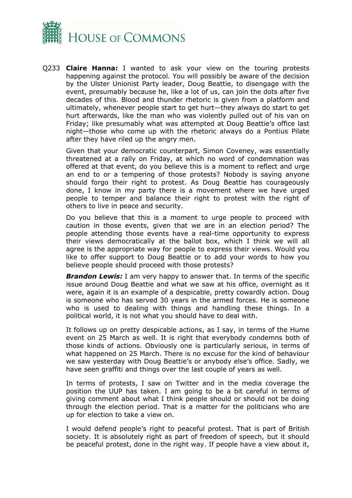

Q233 **Claire Hanna:** I wanted to ask your view on the touring protests happening against the protocol. You will possibly be aware of the decision by the Ulster Unionist Party leader, Doug Beattie, to disengage with the event, presumably because he, like a lot of us, can join the dots after five decades of this. Blood and thunder rhetoric is given from a platform and ultimately, whenever people start to get hurt—they always do start to get hurt afterwards, like the man who was violently pulled out of his van on Friday; like presumably what was attempted at Doug Beattie's office last night—those who come up with the rhetoric always do a Pontius Pilate after they have riled up the angry men.

Given that your democratic counterpart, Simon Coveney, was essentially threatened at a rally on Friday, at which no word of condemnation was offered at that event, do you believe this is a moment to reflect and urge an end to or a tempering of those protests? Nobody is saying anyone should forgo their right to protest. As Doug Beattie has courageously done, I know in my party there is a movement where we have urged people to temper and balance their right to protest with the right of others to live in peace and security.

Do you believe that this is a moment to urge people to proceed with caution in those events, given that we are in an election period? The people attending those events have a real-time opportunity to express their views democratically at the ballot box, which I think we will all agree is the appropriate way for people to express their views. Would you like to offer support to Doug Beattie or to add your words to how you believe people should proceed with those protests?

*Brandon Lewis:* I am very happy to answer that. In terms of the specific issue around Doug Beattie and what we saw at his office, overnight as it were, again it is an example of a despicable, pretty cowardly action. Doug is someone who has served 30 years in the armed forces. He is someone who is used to dealing with things and handling these things. In a political world, it is not what you should have to deal with.

It follows up on pretty despicable actions, as I say, in terms of the Hume event on 25 March as well. It is right that everybody condemns both of those kinds of actions. Obviously one is particularly serious, in terms of what happened on 25 March. There is no excuse for the kind of behaviour we saw yesterday with Doug Beattie's or anybody else's office. Sadly, we have seen graffiti and things over the last couple of years as well.

In terms of protests, I saw on Twitter and in the media coverage the position the UUP has taken. I am going to be a bit careful in terms of giving comment about what I think people should or should not be doing through the election period. That is a matter for the politicians who are up for election to take a view on.

I would defend people's right to peaceful protest. That is part of British society. It is absolutely right as part of freedom of speech, but it should be peaceful protest, done in the right way. If people have a view about it,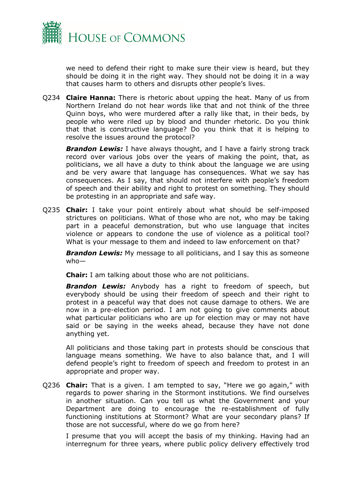

we need to defend their right to make sure their view is heard, but they should be doing it in the right way. They should not be doing it in a way that causes harm to others and disrupts other people's lives.

Q234 **Claire Hanna:** There is rhetoric about upping the heat. Many of us from Northern Ireland do not hear words like that and not think of the three Quinn boys, who were murdered after a rally like that, in their beds, by people who were riled up by blood and thunder rhetoric. Do you think that that is constructive language? Do you think that it is helping to resolve the issues around the protocol?

*Brandon Lewis:* I have always thought, and I have a fairly strong track record over various jobs over the years of making the point, that, as politicians, we all have a duty to think about the language we are using and be very aware that language has consequences. What we say has consequences. As I say, that should not interfere with people's freedom of speech and their ability and right to protest on something. They should be protesting in an appropriate and safe way.

Q235 **Chair:** I take your point entirely about what should be self-imposed strictures on politicians. What of those who are not, who may be taking part in a peaceful demonstration, but who use language that incites violence or appears to condone the use of violence as a political tool? What is your message to them and indeed to law enforcement on that?

**Brandon Lewis:** My message to all politicians, and I say this as someone who—

**Chair:** I am talking about those who are not politicians.

*Brandon Lewis:* Anybody has a right to freedom of speech, but everybody should be using their freedom of speech and their right to protest in a peaceful way that does not cause damage to others. We are now in a pre-election period. I am not going to give comments about what particular politicians who are up for election may or may not have said or be saying in the weeks ahead, because they have not done anything yet.

All politicians and those taking part in protests should be conscious that language means something. We have to also balance that, and I will defend people's right to freedom of speech and freedom to protest in an appropriate and proper way.

Q236 **Chair:** That is a given. I am tempted to say, "Here we go again," with regards to power sharing in the Stormont institutions. We find ourselves in another situation. Can you tell us what the Government and your Department are doing to encourage the re-establishment of fully functioning institutions at Stormont? What are your secondary plans? If those are not successful, where do we go from here?

I presume that you will accept the basis of my thinking. Having had an interregnum for three years, where public policy delivery effectively trod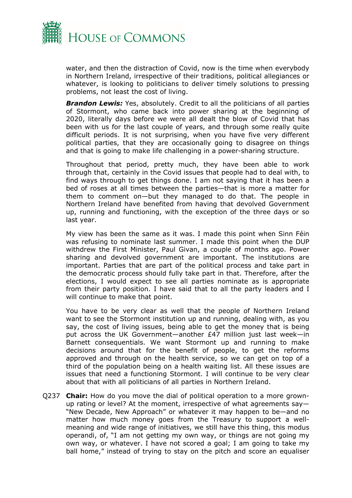

water, and then the distraction of Covid, now is the time when everybody in Northern Ireland, irrespective of their traditions, political allegiances or whatever, is looking to politicians to deliver timely solutions to pressing problems, not least the cost of living.

**Brandon Lewis:** Yes, absolutely. Credit to all the politicians of all parties of Stormont, who came back into power sharing at the beginning of 2020, literally days before we were all dealt the blow of Covid that has been with us for the last couple of years, and through some really quite difficult periods. It is not surprising, when you have five very different political parties, that they are occasionally going to disagree on things and that is going to make life challenging in a power-sharing structure.

Throughout that period, pretty much, they have been able to work through that, certainly in the Covid issues that people had to deal with, to find ways through to get things done. I am not saying that it has been a bed of roses at all times between the parties—that is more a matter for them to comment on—but they managed to do that. The people in Northern Ireland have benefited from having that devolved Government up, running and functioning, with the exception of the three days or so last year.

My view has been the same as it was. I made this point when Sinn Féin was refusing to nominate last summer. I made this point when the DUP withdrew the First Minister, Paul Givan, a couple of months ago. Power sharing and devolved government are important. The institutions are important. Parties that are part of the political process and take part in the democratic process should fully take part in that. Therefore, after the elections, I would expect to see all parties nominate as is appropriate from their party position. I have said that to all the party leaders and I will continue to make that point.

You have to be very clear as well that the people of Northern Ireland want to see the Stormont institution up and running, dealing with, as you say, the cost of living issues, being able to get the money that is being put across the UK Government—another £47 million just last week—in Barnett consequentials. We want Stormont up and running to make decisions around that for the benefit of people, to get the reforms approved and through on the health service, so we can get on top of a third of the population being on a health waiting list. All these issues are issues that need a functioning Stormont. I will continue to be very clear about that with all politicians of all parties in Northern Ireland.

Q237 **Chair:** How do you move the dial of political operation to a more grownup rating or level? At the moment, irrespective of what agreements say— "New Decade, New Approach" or whatever it may happen to be—and no matter how much money goes from the Treasury to support a wellmeaning and wide range of initiatives, we still have this thing, this modus operandi, of, "I am not getting my own way, or things are not going my own way, or whatever. I have not scored a goal; I am going to take my ball home," instead of trying to stay on the pitch and score an equaliser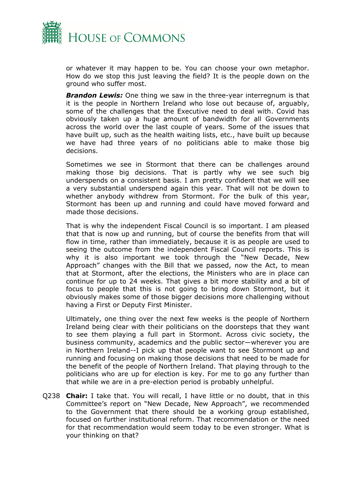

or whatever it may happen to be. You can choose your own metaphor. How do we stop this just leaving the field? It is the people down on the ground who suffer most.

*Brandon Lewis:* One thing we saw in the three-year interregnum is that it is the people in Northern Ireland who lose out because of, arguably, some of the challenges that the Executive need to deal with. Covid has obviously taken up a huge amount of bandwidth for all Governments across the world over the last couple of years. Some of the issues that have built up, such as the health waiting lists, etc., have built up because we have had three years of no politicians able to make those big decisions.

Sometimes we see in Stormont that there can be challenges around making those big decisions. That is partly why we see such big underspends on a consistent basis. I am pretty confident that we will see a very substantial underspend again this year. That will not be down to whether anybody withdrew from Stormont. For the bulk of this year, Stormont has been up and running and could have moved forward and made those decisions.

That is why the independent Fiscal Council is so important. I am pleased that that is now up and running, but of course the benefits from that will flow in time, rather than immediately, because it is as people are used to seeing the outcome from the independent Fiscal Council reports. This is why it is also important we took through the "New Decade, New Approach" changes with the Bill that we passed, now the Act, to mean that at Stormont, after the elections, the Ministers who are in place can continue for up to 24 weeks. That gives a bit more stability and a bit of focus to people that this is not going to bring down Stormont, but it obviously makes some of those bigger decisions more challenging without having a First or Deputy First Minister.

Ultimately, one thing over the next few weeks is the people of Northern Ireland being clear with their politicians on the doorsteps that they want to see them playing a full part in Stormont. Across civic society, the business community, academics and the public sector—wherever you are in Northern Ireland--I pick up that people want to see Stormont up and running and focusing on making those decisions that need to be made for the benefit of the people of Northern Ireland. That playing through to the politicians who are up for election is key. For me to go any further than that while we are in a pre-election period is probably unhelpful.

Q238 **Chair:** I take that. You will recall, I have little or no doubt, that in this Committee's report on "New Decade, New Approach", we recommended to the Government that there should be a working group established, focused on further institutional reform. That recommendation or the need for that recommendation would seem today to be even stronger. What is your thinking on that?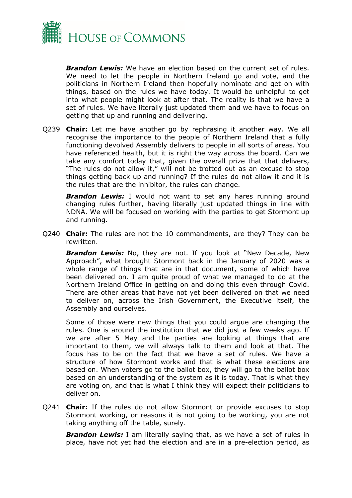

*Brandon Lewis:* We have an election based on the current set of rules. We need to let the people in Northern Ireland go and vote, and the politicians in Northern Ireland then hopefully nominate and get on with things, based on the rules we have today. It would be unhelpful to get into what people might look at after that. The reality is that we have a set of rules. We have literally just updated them and we have to focus on getting that up and running and delivering.

Q239 **Chair:** Let me have another go by rephrasing it another way. We all recognise the importance to the people of Northern Ireland that a fully functioning devolved Assembly delivers to people in all sorts of areas. You have referenced health, but it is right the way across the board. Can we take any comfort today that, given the overall prize that that delivers, "The rules do not allow it," will not be trotted out as an excuse to stop things getting back up and running? If the rules do not allow it and it is the rules that are the inhibitor, the rules can change.

**Brandon Lewis:** I would not want to set any hares running around changing rules further, having literally just updated things in line with NDNA. We will be focused on working with the parties to get Stormont up and running.

Q240 **Chair:** The rules are not the 10 commandments, are they? They can be rewritten.

**Brandon Lewis:** No, they are not. If you look at "New Decade, New Approach", what brought Stormont back in the January of 2020 was a whole range of things that are in that document, some of which have been delivered on. I am quite proud of what we managed to do at the Northern Ireland Office in getting on and doing this even through Covid. There are other areas that have not yet been delivered on that we need to deliver on, across the Irish Government, the Executive itself, the Assembly and ourselves.

Some of those were new things that you could argue are changing the rules. One is around the institution that we did just a few weeks ago. If we are after 5 May and the parties are looking at things that are important to them, we will always talk to them and look at that. The focus has to be on the fact that we have a set of rules. We have a structure of how Stormont works and that is what these elections are based on. When voters go to the ballot box, they will go to the ballot box based on an understanding of the system as it is today. That is what they are voting on, and that is what I think they will expect their politicians to deliver on.

Q241 **Chair:** If the rules do not allow Stormont or provide excuses to stop Stormont working, or reasons it is not going to be working, you are not taking anything off the table, surely.

**Brandon Lewis:** I am literally saying that, as we have a set of rules in place, have not yet had the election and are in a pre-election period, as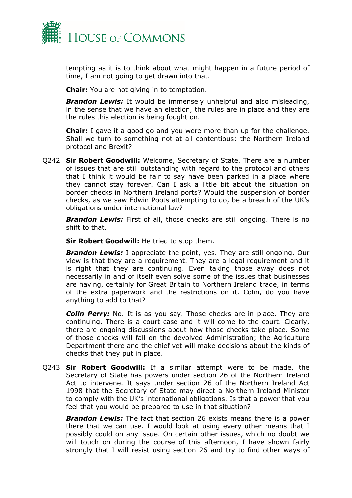

tempting as it is to think about what might happen in a future period of time, I am not going to get drawn into that.

**Chair:** You are not giving in to temptation.

*Brandon Lewis:* It would be immensely unhelpful and also misleading, in the sense that we have an election, the rules are in place and they are the rules this election is being fought on.

**Chair:** I gave it a good go and you were more than up for the challenge. Shall we turn to something not at all contentious: the Northern Ireland protocol and Brexit?

Q242 **Sir Robert Goodwill:** Welcome, Secretary of State. There are a number of issues that are still outstanding with regard to the protocol and others that I think it would be fair to say have been parked in a place where they cannot stay forever. Can I ask a little bit about the situation on border checks in Northern Ireland ports? Would the suspension of border checks, as we saw Edwin Poots attempting to do, be a breach of the UK's obligations under international law?

**Brandon Lewis:** First of all, those checks are still ongoing. There is no shift to that.

**Sir Robert Goodwill:** He tried to stop them.

*Brandon Lewis:* I appreciate the point, yes. They are still ongoing. Our view is that they are a requirement. They are a legal requirement and it is right that they are continuing. Even taking those away does not necessarily in and of itself even solve some of the issues that businesses are having, certainly for Great Britain to Northern Ireland trade, in terms of the extra paperwork and the restrictions on it. Colin, do you have anything to add to that?

*Colin Perry:* No. It is as you say. Those checks are in place. They are continuing. There is a court case and it will come to the court. Clearly, there are ongoing discussions about how those checks take place. Some of those checks will fall on the devolved Administration; the Agriculture Department there and the chief vet will make decisions about the kinds of checks that they put in place.

Q243 **Sir Robert Goodwill:** If a similar attempt were to be made, the Secretary of State has powers under section 26 of the Northern Ireland Act to intervene. It says under section 26 of the Northern Ireland Act 1998 that the Secretary of State may direct a Northern Ireland Minister to comply with the UK's international obligations. Is that a power that you feel that you would be prepared to use in that situation?

*Brandon Lewis:* The fact that section 26 exists means there is a power there that we can use. I would look at using every other means that I possibly could on any issue. On certain other issues, which no doubt we will touch on during the course of this afternoon, I have shown fairly strongly that I will resist using section 26 and try to find other ways of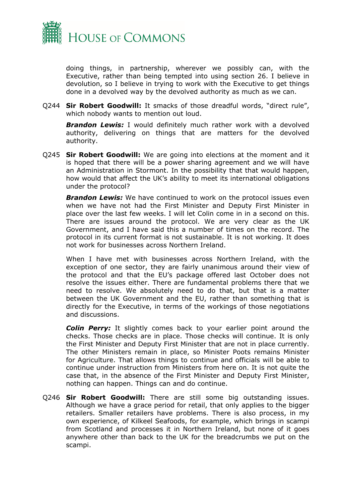

doing things, in partnership, wherever we possibly can, with the Executive, rather than being tempted into using section 26. I believe in devolution, so I believe in trying to work with the Executive to get things done in a devolved way by the devolved authority as much as we can.

Q244 **Sir Robert Goodwill:** It smacks of those dreadful words, "direct rule", which nobody wants to mention out loud.

*Brandon Lewis:* I would definitely much rather work with a devolved authority, delivering on things that are matters for the devolved authority.

Q245 **Sir Robert Goodwill:** We are going into elections at the moment and it is hoped that there will be a power sharing agreement and we will have an Administration in Stormont. In the possibility that that would happen, how would that affect the UK's ability to meet its international obligations under the protocol?

*Brandon Lewis:* We have continued to work on the protocol issues even when we have not had the First Minister and Deputy First Minister in place over the last few weeks. I will let Colin come in in a second on this. There are issues around the protocol. We are very clear as the UK Government, and I have said this a number of times on the record. The protocol in its current format is not sustainable. It is not working. It does not work for businesses across Northern Ireland.

When I have met with businesses across Northern Ireland, with the exception of one sector, they are fairly unanimous around their view of the protocol and that the EU's package offered last October does not resolve the issues either. There are fundamental problems there that we need to resolve. We absolutely need to do that, but that is a matter between the UK Government and the EU, rather than something that is directly for the Executive, in terms of the workings of those negotiations and discussions.

*Colin Perry:* It slightly comes back to your earlier point around the checks. Those checks are in place. Those checks will continue. It is only the First Minister and Deputy First Minister that are not in place currently. The other Ministers remain in place, so Minister Poots remains Minister for Agriculture. That allows things to continue and officials will be able to continue under instruction from Ministers from here on. It is not quite the case that, in the absence of the First Minister and Deputy First Minister, nothing can happen. Things can and do continue.

Q246 **Sir Robert Goodwill:** There are still some big outstanding issues. Although we have a grace period for retail, that only applies to the bigger retailers. Smaller retailers have problems. There is also process, in my own experience, of Kilkeel Seafoods, for example, which brings in scampi from Scotland and processes it in Northern Ireland, but none of it goes anywhere other than back to the UK for the breadcrumbs we put on the scampi.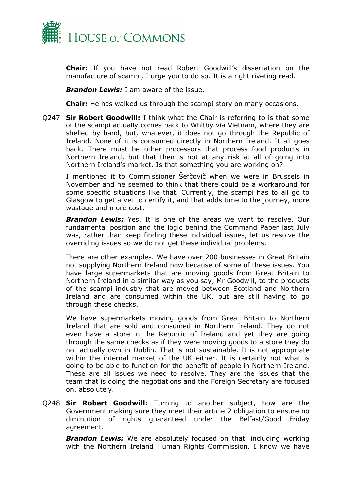

**Chair:** If you have not read Robert Goodwill's dissertation on the manufacture of scampi, I urge you to do so. It is a right riveting read.

*Brandon Lewis:* I am aware of the issue.

**Chair:** He has walked us through the scampi story on many occasions.

Q247 **Sir Robert Goodwill:** I think what the Chair is referring to is that some of the scampi actually comes back to Whitby via Vietnam, where they are shelled by hand, but, whatever, it does not go through the Republic of Ireland. None of it is consumed directly in Northern Ireland. It all goes back. There must be other processors that process food products in Northern Ireland, but that then is not at any risk at all of going into Northern Ireland's market. Is that something you are working on?

I mentioned it to Commissioner Šefčovič when we were in Brussels in November and he seemed to think that there could be a workaround for some specific situations like that. Currently, the scampi has to all go to Glasgow to get a vet to certify it, and that adds time to the journey, more wastage and more cost.

*Brandon Lewis:* Yes. It is one of the areas we want to resolve. Our fundamental position and the logic behind the Command Paper last July was, rather than keep finding these individual issues, let us resolve the overriding issues so we do not get these individual problems.

There are other examples. We have over 200 businesses in Great Britain not supplying Northern Ireland now because of some of these issues. You have large supermarkets that are moving goods from Great Britain to Northern Ireland in a similar way as you say, Mr Goodwill, to the products of the scampi industry that are moved between Scotland and Northern Ireland and are consumed within the UK, but are still having to go through these checks.

We have supermarkets moving goods from Great Britain to Northern Ireland that are sold and consumed in Northern Ireland. They do not even have a store in the Republic of Ireland and yet they are going through the same checks as if they were moving goods to a store they do not actually own in Dublin. That is not sustainable. It is not appropriate within the internal market of the UK either. It is certainly not what is going to be able to function for the benefit of people in Northern Ireland. These are all issues we need to resolve. They are the issues that the team that is doing the negotiations and the Foreign Secretary are focused on, absolutely.

Q248 **Sir Robert Goodwill:** Turning to another subject, how are the Government making sure they meet their article 2 obligation to ensure no diminution of rights guaranteed under the Belfast/Good Friday agreement.

*Brandon Lewis:* We are absolutely focused on that, including working with the Northern Ireland Human Rights Commission. I know we have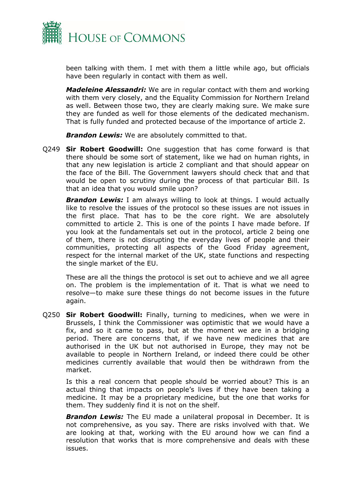

been talking with them. I met with them a little while ago, but officials have been regularly in contact with them as well.

*Madeleine Alessandri:* We are in regular contact with them and working with them very closely, and the Equality Commission for Northern Ireland as well. Between those two, they are clearly making sure. We make sure they are funded as well for those elements of the dedicated mechanism. That is fully funded and protected because of the importance of article 2.

*Brandon Lewis:* We are absolutely committed to that.

Q249 **Sir Robert Goodwill:** One suggestion that has come forward is that there should be some sort of statement, like we had on human rights, in that any new legislation is article 2 compliant and that should appear on the face of the Bill. The Government lawyers should check that and that would be open to scrutiny during the process of that particular Bill. Is that an idea that you would smile upon?

**Brandon Lewis:** I am always willing to look at things. I would actually like to resolve the issues of the protocol so these issues are not issues in the first place. That has to be the core right. We are absolutely committed to article 2. This is one of the points I have made before. If you look at the fundamentals set out in the protocol, article 2 being one of them, there is not disrupting the everyday lives of people and their communities, protecting all aspects of the Good Friday agreement, respect for the internal market of the UK, state functions and respecting the single market of the EU.

These are all the things the protocol is set out to achieve and we all agree on. The problem is the implementation of it. That is what we need to resolve—to make sure these things do not become issues in the future again.

Q250 **Sir Robert Goodwill:** Finally, turning to medicines, when we were in Brussels, I think the Commissioner was optimistic that we would have a fix, and so it came to pass, but at the moment we are in a bridging period. There are concerns that, if we have new medicines that are authorised in the UK but not authorised in Europe, they may not be available to people in Northern Ireland, or indeed there could be other medicines currently available that would then be withdrawn from the market.

Is this a real concern that people should be worried about? This is an actual thing that impacts on people's lives if they have been taking a medicine. It may be a proprietary medicine, but the one that works for them. They suddenly find it is not on the shelf.

*Brandon Lewis:* The EU made a unilateral proposal in December. It is not comprehensive, as you say. There are risks involved with that. We are looking at that, working with the EU around how we can find a resolution that works that is more comprehensive and deals with these issues.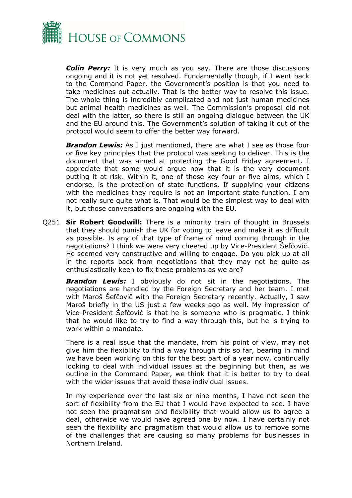

*Colin Perry:* It is very much as you say. There are those discussions ongoing and it is not yet resolved. Fundamentally though, if I went back to the Command Paper, the Government's position is that you need to take medicines out actually. That is the better way to resolve this issue. The whole thing is incredibly complicated and not just human medicines but animal health medicines as well. The Commission's proposal did not deal with the latter, so there is still an ongoing dialogue between the UK and the EU around this. The Government's solution of taking it out of the protocol would seem to offer the better way forward.

*Brandon Lewis:* As I just mentioned, there are what I see as those four or five key principles that the protocol was seeking to deliver. This is the document that was aimed at protecting the Good Friday agreement. I appreciate that some would argue now that it is the very document putting it at risk. Within it, one of those key four or five aims, which I endorse, is the protection of state functions. If supplying your citizens with the medicines they require is not an important state function, I am not really sure quite what is. That would be the simplest way to deal with it, but those conversations are ongoing with the EU.

Q251 **Sir Robert Goodwill:** There is a minority train of thought in Brussels that they should punish the UK for voting to leave and make it as difficult as possible. Is any of that type of frame of mind coming through in the negotiations? I think we were very cheered up by Vice-President Šefčovič. He seemed very constructive and willing to engage. Do you pick up at all in the reports back from negotiations that they may not be quite as enthusiastically keen to fix these problems as we are?

*Brandon Lewis:* I obviously do not sit in the negotiations. The negotiations are handled by the Foreign Secretary and her team. I met with Maroš Šefčovič with the Foreign Secretary recently. Actually, I saw Maroš briefly in the US just a few weeks ago as well. My impression of Vice-President Šefčovič is that he is someone who is pragmatic. I think that he would like to try to find a way through this, but he is trying to work within a mandate.

There is a real issue that the mandate, from his point of view, may not give him the flexibility to find a way through this so far, bearing in mind we have been working on this for the best part of a year now, continually looking to deal with individual issues at the beginning but then, as we outline in the Command Paper, we think that it is better to try to deal with the wider issues that avoid these individual issues.

In my experience over the last six or nine months, I have not seen the sort of flexibility from the EU that I would have expected to see. I have not seen the pragmatism and flexibility that would allow us to agree a deal, otherwise we would have agreed one by now. I have certainly not seen the flexibility and pragmatism that would allow us to remove some of the challenges that are causing so many problems for businesses in Northern Ireland.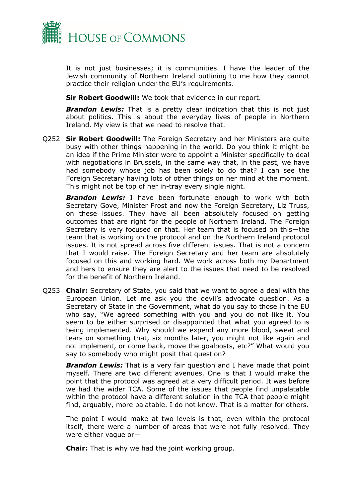

It is not just businesses; it is communities. I have the leader of the Jewish community of Northern Ireland outlining to me how they cannot practice their religion under the EU's requirements.

**Sir Robert Goodwill:** We took that evidence in our report.

*Brandon Lewis:* That is a pretty clear indication that this is not just about politics. This is about the everyday lives of people in Northern Ireland. My view is that we need to resolve that.

Q252 **Sir Robert Goodwill:** The Foreign Secretary and her Ministers are quite busy with other things happening in the world. Do you think it might be an idea if the Prime Minister were to appoint a Minister specifically to deal with negotiations in Brussels, in the same way that, in the past, we have had somebody whose job has been solely to do that? I can see the Foreign Secretary having lots of other things on her mind at the moment. This might not be top of her in-tray every single night.

*Brandon Lewis:* I have been fortunate enough to work with both Secretary Gove, Minister Frost and now the Foreign Secretary, Liz Truss, on these issues. They have all been absolutely focused on getting outcomes that are right for the people of Northern Ireland. The Foreign Secretary is very focused on that. Her team that is focused on this—the team that is working on the protocol and on the Northern Ireland protocol issues. It is not spread across five different issues. That is not a concern that I would raise. The Foreign Secretary and her team are absolutely focused on this and working hard. We work across both my Department and hers to ensure they are alert to the issues that need to be resolved for the benefit of Northern Ireland.

Q253 **Chair:** Secretary of State, you said that we want to agree a deal with the European Union. Let me ask you the devil's advocate question. As a Secretary of State in the Government, what do you say to those in the EU who say, "We agreed something with you and you do not like it. You seem to be either surprised or disappointed that what you agreed to is being implemented. Why should we expend any more blood, sweat and tears on something that, six months later, you might not like again and not implement, or come back, move the goalposts, etc?" What would you say to somebody who might posit that question?

*Brandon Lewis:* That is a very fair question and I have made that point myself. There are two different avenues. One is that I would make the point that the protocol was agreed at a very difficult period. It was before we had the wider TCA. Some of the issues that people find unpalatable within the protocol have a different solution in the TCA that people might find, arguably, more palatable. I do not know. That is a matter for others.

The point I would make at two levels is that, even within the protocol itself, there were a number of areas that were not fully resolved. They were either vague or—

**Chair:** That is why we had the joint working group.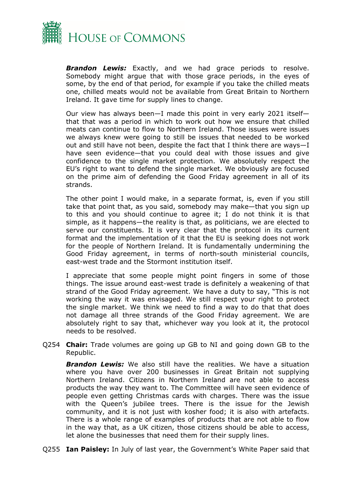

*Brandon Lewis:* Exactly, and we had grace periods to resolve. Somebody might argue that with those grace periods, in the eyes of some, by the end of that period, for example if you take the chilled meats one, chilled meats would not be available from Great Britain to Northern Ireland. It gave time for supply lines to change.

Our view has always been—I made this point in very early 2021 itself that that was a period in which to work out how we ensure that chilled meats can continue to flow to Northern Ireland. Those issues were issues we always knew were going to still be issues that needed to be worked out and still have not been, despite the fact that I think there are ways—I have seen evidence—that you could deal with those issues and give confidence to the single market protection. We absolutely respect the EU's right to want to defend the single market. We obviously are focused on the prime aim of defending the Good Friday agreement in all of its strands.

The other point I would make, in a separate format, is, even if you still take that point that, as you said, somebody may make—that you sign up to this and you should continue to agree it; I do not think it is that simple, as it happens—the reality is that, as politicians, we are elected to serve our constituents. It is very clear that the protocol in its current format and the implementation of it that the EU is seeking does not work for the people of Northern Ireland. It is fundamentally undermining the Good Friday agreement, in terms of north-south ministerial councils, east-west trade and the Stormont institution itself.

I appreciate that some people might point fingers in some of those things. The issue around east-west trade is definitely a weakening of that strand of the Good Friday agreement. We have a duty to say, "This is not working the way it was envisaged. We still respect your right to protect the single market. We think we need to find a way to do that that does not damage all three strands of the Good Friday agreement. We are absolutely right to say that, whichever way you look at it, the protocol needs to be resolved.

Q254 **Chair:** Trade volumes are going up GB to NI and going down GB to the Republic.

*Brandon Lewis:* We also still have the realities. We have a situation where you have over 200 businesses in Great Britain not supplying Northern Ireland. Citizens in Northern Ireland are not able to access products the way they want to. The Committee will have seen evidence of people even getting Christmas cards with charges. There was the issue with the Queen's jubilee trees. There is the issue for the Jewish community, and it is not just with kosher food; it is also with artefacts. There is a whole range of examples of products that are not able to flow in the way that, as a UK citizen, those citizens should be able to access, let alone the businesses that need them for their supply lines.

Q255 **Ian Paisley:** In July of last year, the Government's White Paper said that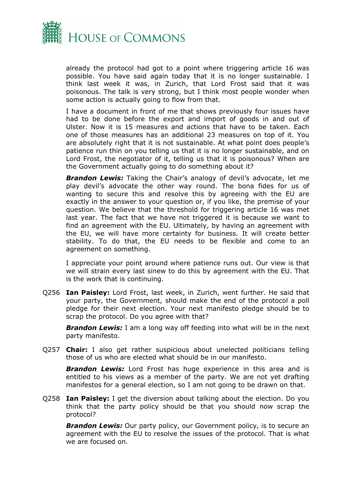

already the protocol had got to a point where triggering article 16 was possible. You have said again today that it is no longer sustainable. I think last week it was, in Zurich, that Lord Frost said that it was poisonous. The talk is very strong, but I think most people wonder when some action is actually going to flow from that.

I have a document in front of me that shows previously four issues have had to be done before the export and import of goods in and out of Ulster. Now it is 15 measures and actions that have to be taken. Each one of those measures has an additional 23 measures on top of it. You are absolutely right that it is not sustainable. At what point does people's patience run thin on you telling us that it is no longer sustainable, and on Lord Frost, the negotiator of it, telling us that it is poisonous? When are the Government actually going to do something about it?

**Brandon Lewis:** Taking the Chair's analogy of devil's advocate, let me play devil's advocate the other way round. The bona fides for us of wanting to secure this and resolve this by agreeing with the EU are exactly in the answer to your question or, if you like, the premise of your question. We believe that the threshold for triggering article 16 was met last year. The fact that we have not triggered it is because we want to find an agreement with the EU. Ultimately, by having an agreement with the EU, we will have more certainty for business. It will create better stability. To do that, the EU needs to be flexible and come to an agreement on something.

I appreciate your point around where patience runs out. Our view is that we will strain every last sinew to do this by agreement with the EU. That is the work that is continuing.

Q256 **Ian Paisley:** Lord Frost, last week, in Zurich, went further. He said that your party, the Government, should make the end of the protocol a poll pledge for their next election. Your next manifesto pledge should be to scrap the protocol. Do you agree with that?

*Brandon Lewis:* I am a long way off feeding into what will be in the next party manifesto.

Q257 **Chair:** I also get rather suspicious about unelected politicians telling those of us who are elected what should be in our manifesto.

**Brandon Lewis:** Lord Frost has huge experience in this area and is entitled to his views as a member of the party. We are not yet drafting manifestos for a general election, so I am not going to be drawn on that.

Q258 **Ian Paisley:** I get the diversion about talking about the election. Do you think that the party policy should be that you should now scrap the protocol?

*Brandon Lewis:* Our party policy, our Government policy, is to secure an agreement with the EU to resolve the issues of the protocol. That is what we are focused on.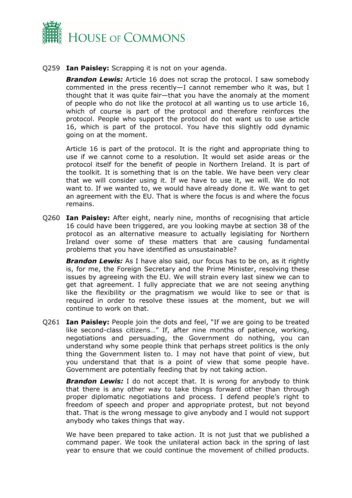

Q259 **Ian Paisley:** Scrapping it is not on your agenda.

**Brandon Lewis:** Article 16 does not scrap the protocol. I saw somebody commented in the press recently—I cannot remember who it was, but I thought that it was quite fair—that you have the anomaly at the moment of people who do not like the protocol at all wanting us to use article 16, which of course is part of the protocol and therefore reinforces the protocol. People who support the protocol do not want us to use article 16, which is part of the protocol. You have this slightly odd dynamic going on at the moment.

Article 16 is part of the protocol. It is the right and appropriate thing to use if we cannot come to a resolution. It would set aside areas or the protocol itself for the benefit of people in Northern Ireland. It is part of the toolkit. It is something that is on the table. We have been very clear that we will consider using it. If we have to use it, we will. We do not want to. If we wanted to, we would have already done it. We want to get an agreement with the EU. That is where the focus is and where the focus remains.

Q260 **Ian Paisley:** After eight, nearly nine, months of recognising that article 16 could have been triggered, are you looking maybe at section 38 of the protocol as an alternative measure to actually legislating for Northern Ireland over some of these matters that are causing fundamental problems that you have identified as unsustainable?

*Brandon Lewis:* As I have also said, our focus has to be on, as it rightly is, for me, the Foreign Secretary and the Prime Minister, resolving these issues by agreeing with the EU. We will strain every last sinew we can to get that agreement. I fully appreciate that we are not seeing anything like the flexibility or the pragmatism we would like to see or that is required in order to resolve these issues at the moment, but we will continue to work on that.

Q261 **Ian Paisley:** People join the dots and feel, "If we are going to be treated like second-class citizens…" If, after nine months of patience, working, negotiations and persuading, the Government do nothing, you can understand why some people think that perhaps street politics is the only thing the Government listen to. I may not have that point of view, but you understand that that is a point of view that some people have. Government are potentially feeding that by not taking action.

**Brandon Lewis:** I do not accept that. It is wrong for anybody to think that there is any other way to take things forward other than through proper diplomatic negotiations and process. I defend people's right to freedom of speech and proper and appropriate protest, but not beyond that. That is the wrong message to give anybody and I would not support anybody who takes things that way.

We have been prepared to take action. It is not just that we published a command paper. We took the unilateral action back in the spring of last year to ensure that we could continue the movement of chilled products.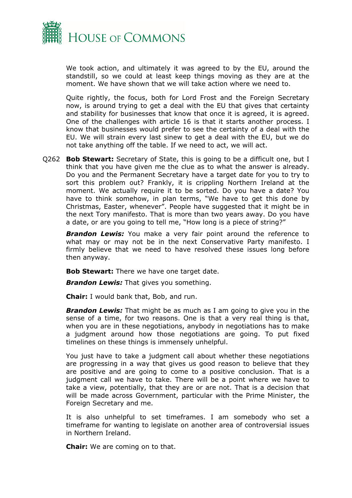

We took action, and ultimately it was agreed to by the EU, around the standstill, so we could at least keep things moving as they are at the moment. We have shown that we will take action where we need to.

Quite rightly, the focus, both for Lord Frost and the Foreign Secretary now, is around trying to get a deal with the EU that gives that certainty and stability for businesses that know that once it is agreed, it is agreed. One of the challenges with article 16 is that it starts another process. I know that businesses would prefer to see the certainty of a deal with the EU. We will strain every last sinew to get a deal with the EU, but we do not take anything off the table. If we need to act, we will act.

Q262 **Bob Stewart:** Secretary of State, this is going to be a difficult one, but I think that you have given me the clue as to what the answer is already. Do you and the Permanent Secretary have a target date for you to try to sort this problem out? Frankly, it is crippling Northern Ireland at the moment. We actually require it to be sorted. Do you have a date? You have to think somehow, in plan terms, "We have to get this done by Christmas, Easter, whenever". People have suggested that it might be in the next Tory manifesto. That is more than two years away. Do you have a date, or are you going to tell me, "How long is a piece of string?"

**Brandon Lewis:** You make a very fair point around the reference to what may or may not be in the next Conservative Party manifesto. I firmly believe that we need to have resolved these issues long before then anyway.

**Bob Stewart:** There we have one target date.

*Brandon Lewis:* That gives you something.

**Chair:** I would bank that, Bob, and run.

*Brandon Lewis:* That might be as much as I am going to give you in the sense of a time, for two reasons. One is that a very real thing is that, when you are in these negotiations, anybody in negotiations has to make a judgment around how those negotiations are going. To put fixed timelines on these things is immensely unhelpful.

You just have to take a judgment call about whether these negotiations are progressing in a way that gives us good reason to believe that they are positive and are going to come to a positive conclusion. That is a judgment call we have to take. There will be a point where we have to take a view, potentially, that they are or are not. That is a decision that will be made across Government, particular with the Prime Minister, the Foreign Secretary and me.

It is also unhelpful to set timeframes. I am somebody who set a timeframe for wanting to legislate on another area of controversial issues in Northern Ireland.

**Chair:** We are coming on to that.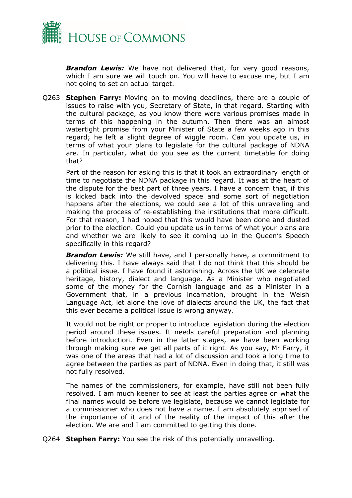

*Brandon Lewis:* We have not delivered that, for very good reasons, which I am sure we will touch on. You will have to excuse me, but I am not going to set an actual target.

Q263 **Stephen Farry:** Moving on to moving deadlines, there are a couple of issues to raise with you, Secretary of State, in that regard. Starting with the cultural package, as you know there were various promises made in terms of this happening in the autumn. Then there was an almost watertight promise from your Minister of State a few weeks ago in this regard; he left a slight degree of wiggle room. Can you update us, in terms of what your plans to legislate for the cultural package of NDNA are. In particular, what do you see as the current timetable for doing that?

Part of the reason for asking this is that it took an extraordinary length of time to negotiate the NDNA package in this regard. It was at the heart of the dispute for the best part of three years. I have a concern that, if this is kicked back into the devolved space and some sort of negotiation happens after the elections, we could see a lot of this unravelling and making the process of re-establishing the institutions that more difficult. For that reason, I had hoped that this would have been done and dusted prior to the election. Could you update us in terms of what your plans are and whether we are likely to see it coming up in the Queen's Speech specifically in this regard?

*Brandon Lewis:* We still have, and I personally have, a commitment to delivering this. I have always said that I do not think that this should be a political issue. I have found it astonishing. Across the UK we celebrate heritage, history, dialect and language. As a Minister who negotiated some of the money for the Cornish language and as a Minister in a Government that, in a previous incarnation, brought in the Welsh Language Act, let alone the love of dialects around the UK, the fact that this ever became a political issue is wrong anyway.

It would not be right or proper to introduce legislation during the election period around these issues. It needs careful preparation and planning before introduction. Even in the latter stages, we have been working through making sure we get all parts of it right. As you say, Mr Farry, it was one of the areas that had a lot of discussion and took a long time to agree between the parties as part of NDNA. Even in doing that, it still was not fully resolved.

The names of the commissioners, for example, have still not been fully resolved. I am much keener to see at least the parties agree on what the final names would be before we legislate, because we cannot legislate for a commissioner who does not have a name. I am absolutely apprised of the importance of it and of the reality of the impact of this after the election. We are and I am committed to getting this done.

Q264 **Stephen Farry:** You see the risk of this potentially unravelling.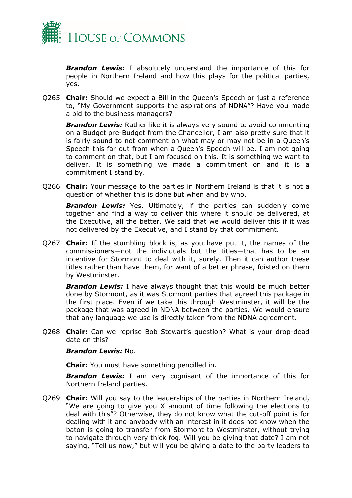

*Brandon Lewis:* I absolutely understand the importance of this for people in Northern Ireland and how this plays for the political parties, yes.

Q265 **Chair:** Should we expect a Bill in the Queen's Speech or just a reference to, "My Government supports the aspirations of NDNA"? Have you made a bid to the business managers?

*Brandon Lewis:* Rather like it is always very sound to avoid commenting on a Budget pre-Budget from the Chancellor, I am also pretty sure that it is fairly sound to not comment on what may or may not be in a Queen's Speech this far out from when a Queen's Speech will be. I am not going to comment on that, but I am focused on this. It is something we want to deliver. It is something we made a commitment on and it is a commitment I stand by.

Q266 **Chair:** Your message to the parties in Northern Ireland is that it is not a question of whether this is done but when and by who.

*Brandon Lewis:* Yes. Ultimately, if the parties can suddenly come together and find a way to deliver this where it should be delivered, at the Executive, all the better. We said that we would deliver this if it was not delivered by the Executive, and I stand by that commitment.

Q267 **Chair:** If the stumbling block is, as you have put it, the names of the commissioners—not the individuals but the titles—that has to be an incentive for Stormont to deal with it, surely. Then it can author these titles rather than have them, for want of a better phrase, foisted on them by Westminster.

*Brandon Lewis:* I have always thought that this would be much better done by Stormont, as it was Stormont parties that agreed this package in the first place. Even if we take this through Westminster, it will be the package that was agreed in NDNA between the parties. We would ensure that any language we use is directly taken from the NDNA agreement.

Q268 **Chair:** Can we reprise Bob Stewart's question? What is your drop-dead date on this?

#### *Brandon Lewis:* No.

**Chair:** You must have something pencilled in.

**Brandon Lewis:** I am very cognisant of the importance of this for Northern Ireland parties.

Q269 **Chair:** Will you say to the leaderships of the parties in Northern Ireland, "We are going to give you X amount of time following the elections to deal with this"? Otherwise, they do not know what the cut-off point is for dealing with it and anybody with an interest in it does not know when the baton is going to transfer from Stormont to Westminster, without trying to navigate through very thick fog. Will you be giving that date? I am not saying, "Tell us now," but will you be giving a date to the party leaders to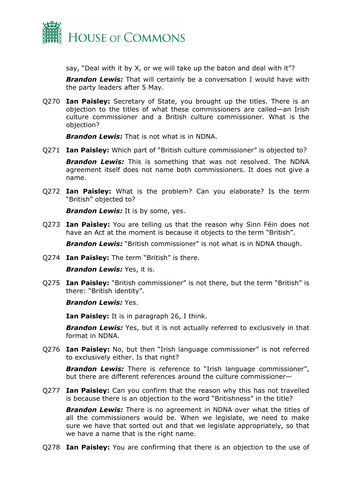

say, "Deal with it by X, or we will take up the baton and deal with it"?

*Brandon Lewis:* That will certainly be a conversation I would have with the party leaders after 5 May.

Q270 **Ian Paisley:** Secretary of State, you brought up the titles. There is an objection to the titles of what these commissioners are called—an Irish culture commissioner and a British culture commissioner. What is the objection?

*Brandon Lewis:* That is not what is in NDNA.

Q271 **Ian Paisley:** Which part of "British culture commissioner" is objected to?

*Brandon Lewis:* This is something that was not resolved. The NDNA agreement itself does not name both commissioners. It does not give a name.

Q272 **Ian Paisley:** What is the problem? Can you elaborate? Is the term "British" objected to?

*Brandon Lewis:* It is by some, yes.

Q273 **Ian Paisley:** You are telling us that the reason why Sinn Féin does not have an Act at the moment is because it objects to the term "British".

*Brandon Lewis:* "British commissioner" is not what is in NDNA though.

Q274 **Ian Paisley:** The term "British" is there.

*Brandon Lewis:* Yes, it is.

Q275 **Ian Paisley:** "British commissioner" is not there, but the term "British" is there: "British identity".

## *Brandon Lewis:* Yes.

**Ian Paisley:** It is in paragraph 26, I think.

**Brandon Lewis:** Yes, but it is not actually referred to exclusively in that format in NDNA.

Q276 **Ian Paisley:** No, but then "Irish language commissioner" is not referred to exclusively either. Is that right?

*Brandon Lewis:* There is reference to "Irish language commissioner", but there are different references around the culture commissioner—

Q277 **Ian Paisley:** Can you confirm that the reason why this has not travelled is because there is an objection to the word "Britishness" in the title?

*Brandon Lewis:* There is no agreement in NDNA over what the titles of all the commissioners would be. When we legislate, we need to make sure we have that sorted out and that we legislate appropriately, so that we have a name that is the right name.

Q278 **Ian Paisley:** You are confirming that there is an objection to the use of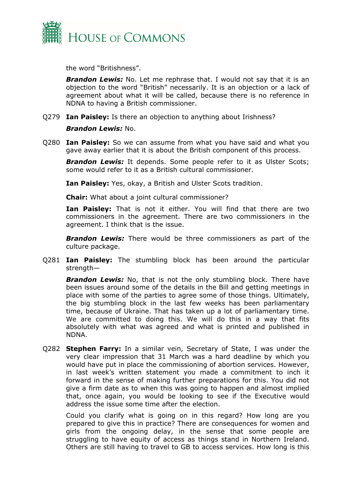

the word "Britishness".

*Brandon Lewis:* No. Let me rephrase that. I would not say that it is an objection to the word "British" necessarily. It is an objection or a lack of agreement about what it will be called, because there is no reference in NDNA to having a British commissioner.

Q279 **Ian Paisley:** Is there an objection to anything about Irishness?

## *Brandon Lewis:* No.

Q280 **Ian Paisley:** So we can assume from what you have said and what you gave away earlier that it is about the British component of this process.

**Brandon Lewis:** It depends. Some people refer to it as Ulster Scots; some would refer to it as a British cultural commissioner.

**Ian Paisley:** Yes, okay, a British and Ulster Scots tradition.

**Chair:** What about a joint cultural commissioner?

**Ian Paisley:** That is not it either. You will find that there are two commissioners in the agreement. There are two commissioners in the agreement. I think that is the issue.

*Brandon Lewis:* There would be three commissioners as part of the culture package.

Q281 **Ian Paisley:** The stumbling block has been around the particular strength—

**Brandon Lewis:** No, that is not the only stumbling block. There have been issues around some of the details in the Bill and getting meetings in place with some of the parties to agree some of those things. Ultimately, the big stumbling block in the last few weeks has been parliamentary time, because of Ukraine. That has taken up a lot of parliamentary time. We are committed to doing this. We will do this in a way that fits absolutely with what was agreed and what is printed and published in NDNA.

Q282 **Stephen Farry:** In a similar vein, Secretary of State, I was under the very clear impression that 31 March was a hard deadline by which you would have put in place the commissioning of abortion services. However, in last week's written statement you made a commitment to inch it forward in the sense of making further preparations for this. You did not give a firm date as to when this was going to happen and almost implied that, once again, you would be looking to see if the Executive would address the issue some time after the election.

Could you clarify what is going on in this regard? How long are you prepared to give this in practice? There are consequences for women and girls from the ongoing delay, in the sense that some people are struggling to have equity of access as things stand in Northern Ireland. Others are still having to travel to GB to access services. How long is this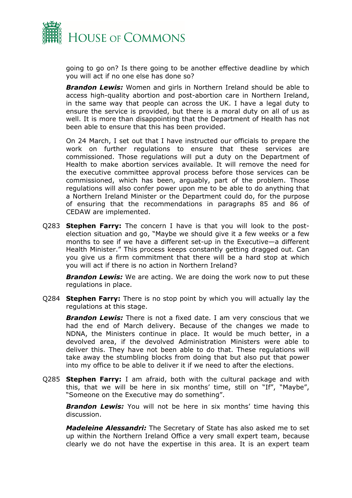

going to go on? Is there going to be another effective deadline by which you will act if no one else has done so?

*Brandon Lewis:* Women and girls in Northern Ireland should be able to access high-quality abortion and post-abortion care in Northern Ireland, in the same way that people can across the UK. I have a legal duty to ensure the service is provided, but there is a moral duty on all of us as well. It is more than disappointing that the Department of Health has not been able to ensure that this has been provided.

On 24 March, I set out that I have instructed our officials to prepare the work on further regulations to ensure that these services are commissioned. Those regulations will put a duty on the Department of Health to make abortion services available. It will remove the need for the executive committee approval process before those services can be commissioned, which has been, arguably, part of the problem. Those regulations will also confer power upon me to be able to do anything that a Northern Ireland Minister or the Department could do, for the purpose of ensuring that the recommendations in paragraphs 85 and 86 of CEDAW are implemented.

Q283 **Stephen Farry:** The concern I have is that you will look to the postelection situation and go, "Maybe we should give it a few weeks or a few months to see if we have a different set-up in the Executive—a different Health Minister." This process keeps constantly getting dragged out. Can you give us a firm commitment that there will be a hard stop at which you will act if there is no action in Northern Ireland?

*Brandon Lewis:* We are acting. We are doing the work now to put these regulations in place.

Q284 **Stephen Farry:** There is no stop point by which you will actually lay the regulations at this stage.

*Brandon Lewis:* There is not a fixed date. I am very conscious that we had the end of March delivery. Because of the changes we made to NDNA, the Ministers continue in place. It would be much better, in a devolved area, if the devolved Administration Ministers were able to deliver this. They have not been able to do that. These regulations will take away the stumbling blocks from doing that but also put that power into my office to be able to deliver it if we need to after the elections.

Q285 **Stephen Farry:** I am afraid, both with the cultural package and with this, that we will be here in six months' time, still on "If", "Maybe", "Someone on the Executive may do something".

*Brandon Lewis:* You will not be here in six months' time having this discussion.

*Madeleine Alessandri:* The Secretary of State has also asked me to set up within the Northern Ireland Office a very small expert team, because clearly we do not have the expertise in this area. It is an expert team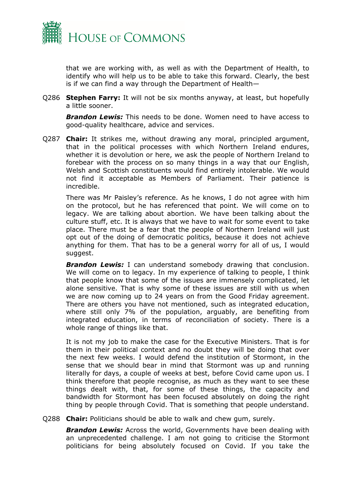

that we are working with, as well as with the Department of Health, to identify who will help us to be able to take this forward. Clearly, the best is if we can find a way through the Department of Health—

Q286 **Stephen Farry:** It will not be six months anyway, at least, but hopefully a little sooner.

*Brandon Lewis:* This needs to be done. Women need to have access to good-quality healthcare, advice and services.

Q287 **Chair:** It strikes me, without drawing any moral, principled argument, that in the political processes with which Northern Ireland endures, whether it is devolution or here, we ask the people of Northern Ireland to forebear with the process on so many things in a way that our English, Welsh and Scottish constituents would find entirely intolerable. We would not find it acceptable as Members of Parliament. Their patience is incredible.

There was Mr Paisley's reference. As he knows, I do not agree with him on the protocol, but he has referenced that point. We will come on to legacy. We are talking about abortion. We have been talking about the culture stuff, etc. It is always that we have to wait for some event to take place. There must be a fear that the people of Northern Ireland will just opt out of the doing of democratic politics, because it does not achieve anything for them. That has to be a general worry for all of us, I would suggest.

**Brandon Lewis:** I can understand somebody drawing that conclusion. We will come on to legacy. In my experience of talking to people, I think that people know that some of the issues are immensely complicated, let alone sensitive. That is why some of these issues are still with us when we are now coming up to 24 years on from the Good Friday agreement. There are others you have not mentioned, such as integrated education, where still only 7% of the population, arguably, are benefiting from integrated education, in terms of reconciliation of society. There is a whole range of things like that.

It is not my job to make the case for the Executive Ministers. That is for them in their political context and no doubt they will be doing that over the next few weeks. I would defend the institution of Stormont, in the sense that we should bear in mind that Stormont was up and running literally for days, a couple of weeks at best, before Covid came upon us. I think therefore that people recognise, as much as they want to see these things dealt with, that, for some of these things, the capacity and bandwidth for Stormont has been focused absolutely on doing the right thing by people through Covid. That is something that people understand.

Q288 **Chair:** Politicians should be able to walk and chew gum, surely.

*Brandon Lewis:* Across the world, Governments have been dealing with an unprecedented challenge. I am not going to criticise the Stormont politicians for being absolutely focused on Covid. If you take the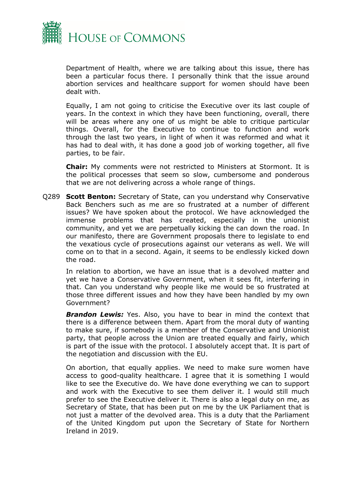

Department of Health, where we are talking about this issue, there has been a particular focus there. I personally think that the issue around abortion services and healthcare support for women should have been dealt with.

Equally, I am not going to criticise the Executive over its last couple of years. In the context in which they have been functioning, overall, there will be areas where any one of us might be able to critique particular things. Overall, for the Executive to continue to function and work through the last two years, in light of when it was reformed and what it has had to deal with, it has done a good job of working together, all five parties, to be fair.

**Chair:** My comments were not restricted to Ministers at Stormont. It is the political processes that seem so slow, cumbersome and ponderous that we are not delivering across a whole range of things.

Q289 **Scott Benton:** Secretary of State, can you understand why Conservative Back Benchers such as me are so frustrated at a number of different issues? We have spoken about the protocol. We have acknowledged the immense problems that has created, especially in the unionist community, and yet we are perpetually kicking the can down the road. In our manifesto, there are Government proposals there to legislate to end the vexatious cycle of prosecutions against our veterans as well. We will come on to that in a second. Again, it seems to be endlessly kicked down the road.

In relation to abortion, we have an issue that is a devolved matter and yet we have a Conservative Government, when it sees fit, interfering in that. Can you understand why people like me would be so frustrated at those three different issues and how they have been handled by my own Government?

*Brandon Lewis:* Yes. Also, you have to bear in mind the context that there is a difference between them. Apart from the moral duty of wanting to make sure, if somebody is a member of the Conservative and Unionist party, that people across the Union are treated equally and fairly, which is part of the issue with the protocol. I absolutely accept that. It is part of the negotiation and discussion with the EU.

On abortion, that equally applies. We need to make sure women have access to good-quality healthcare. I agree that it is something I would like to see the Executive do. We have done everything we can to support and work with the Executive to see them deliver it. I would still much prefer to see the Executive deliver it. There is also a legal duty on me, as Secretary of State, that has been put on me by the UK Parliament that is not just a matter of the devolved area. This is a duty that the Parliament of the United Kingdom put upon the Secretary of State for Northern Ireland in 2019.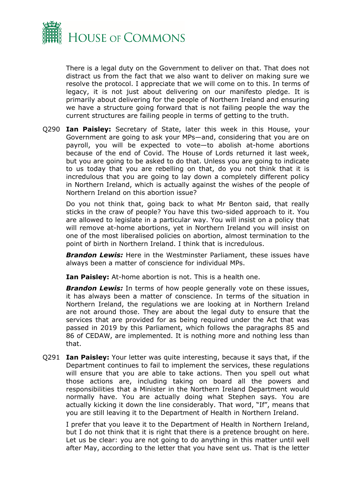

There is a legal duty on the Government to deliver on that. That does not distract us from the fact that we also want to deliver on making sure we resolve the protocol. I appreciate that we will come on to this. In terms of legacy, it is not just about delivering on our manifesto pledge. It is primarily about delivering for the people of Northern Ireland and ensuring we have a structure going forward that is not failing people the way the current structures are failing people in terms of getting to the truth.

Q290 **Ian Paisley:** Secretary of State, later this week in this House, your Government are going to ask your MPs—and, considering that you are on payroll, you will be expected to vote—to abolish at-home abortions because of the end of Covid. The House of Lords returned it last week, but you are going to be asked to do that. Unless you are going to indicate to us today that you are rebelling on that, do you not think that it is incredulous that you are going to lay down a completely different policy in Northern Ireland, which is actually against the wishes of the people of Northern Ireland on this abortion issue?

Do you not think that, going back to what Mr Benton said, that really sticks in the craw of people? You have this two-sided approach to it. You are allowed to legislate in a particular way. You will insist on a policy that will remove at-home abortions, yet in Northern Ireland you will insist on one of the most liberalised policies on abortion, almost termination to the point of birth in Northern Ireland. I think that is incredulous.

*Brandon Lewis:* Here in the Westminster Parliament, these issues have always been a matter of conscience for individual MPs.

**Ian Paisley:** At-home abortion is not. This is a health one.

*Brandon Lewis:* In terms of how people generally vote on these issues, it has always been a matter of conscience. In terms of the situation in Northern Ireland, the regulations we are looking at in Northern Ireland are not around those. They are about the legal duty to ensure that the services that are provided for as being required under the Act that was passed in 2019 by this Parliament, which follows the paragraphs 85 and 86 of CEDAW, are implemented. It is nothing more and nothing less than that.

Q291 **Ian Paisley:** Your letter was quite interesting, because it says that, if the Department continues to fail to implement the services, these regulations will ensure that you are able to take actions. Then you spell out what those actions are, including taking on board all the powers and responsibilities that a Minister in the Northern Ireland Department would normally have. You are actually doing what Stephen says. You are actually kicking it down the line considerably. That word, "If", means that you are still leaving it to the Department of Health in Northern Ireland.

I prefer that you leave it to the Department of Health in Northern Ireland, but I do not think that it is right that there is a pretence brought on here. Let us be clear: you are not going to do anything in this matter until well after May, according to the letter that you have sent us. That is the letter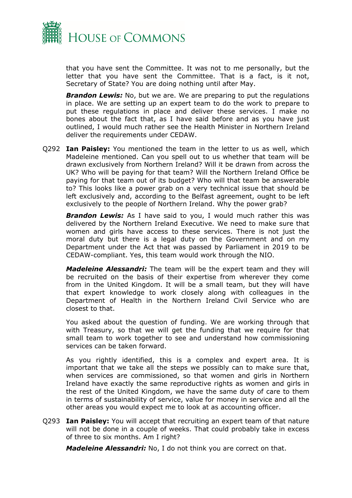

that you have sent the Committee. It was not to me personally, but the letter that you have sent the Committee. That is a fact, is it not, Secretary of State? You are doing nothing until after May.

*Brandon Lewis:* No, but we are. We are preparing to put the regulations in place. We are setting up an expert team to do the work to prepare to put these regulations in place and deliver these services. I make no bones about the fact that, as I have said before and as you have just outlined, I would much rather see the Health Minister in Northern Ireland deliver the requirements under CEDAW.

Q292 **Ian Paisley:** You mentioned the team in the letter to us as well, which Madeleine mentioned. Can you spell out to us whether that team will be drawn exclusively from Northern Ireland? Will it be drawn from across the UK? Who will be paying for that team? Will the Northern Ireland Office be paying for that team out of its budget? Who will that team be answerable to? This looks like a power grab on a very technical issue that should be left exclusively and, according to the Belfast agreement, ought to be left exclusively to the people of Northern Ireland. Why the power grab?

**Brandon Lewis:** As I have said to you, I would much rather this was delivered by the Northern Ireland Executive. We need to make sure that women and girls have access to these services. There is not just the moral duty but there is a legal duty on the Government and on my Department under the Act that was passed by Parliament in 2019 to be CEDAW-compliant. Yes, this team would work through the NIO.

*Madeleine Alessandri:* The team will be the expert team and they will be recruited on the basis of their expertise from wherever they come from in the United Kingdom. It will be a small team, but they will have that expert knowledge to work closely along with colleagues in the Department of Health in the Northern Ireland Civil Service who are closest to that.

You asked about the question of funding. We are working through that with Treasury, so that we will get the funding that we require for that small team to work together to see and understand how commissioning services can be taken forward.

As you rightly identified, this is a complex and expert area. It is important that we take all the steps we possibly can to make sure that, when services are commissioned, so that women and girls in Northern Ireland have exactly the same reproductive rights as women and girls in the rest of the United Kingdom, we have the same duty of care to them in terms of sustainability of service, value for money in service and all the other areas you would expect me to look at as accounting officer.

Q293 **Ian Paisley:** You will accept that recruiting an expert team of that nature will not be done in a couple of weeks. That could probably take in excess of three to six months. Am I right?

*Madeleine Alessandri:* No, I do not think you are correct on that.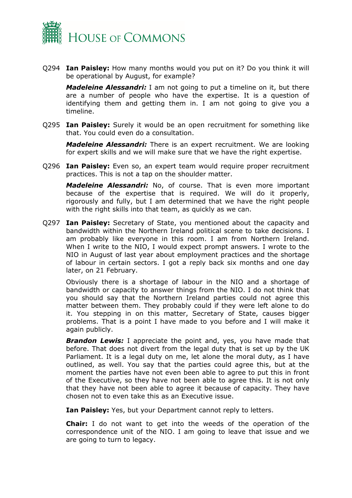

Q294 **Ian Paisley:** How many months would you put on it? Do you think it will be operational by August, for example?

*Madeleine Alessandri:* I am not going to put a timeline on it, but there are a number of people who have the expertise. It is a question of identifying them and getting them in. I am not going to give you a timeline.

Q295 **Ian Paisley:** Surely it would be an open recruitment for something like that. You could even do a consultation.

*Madeleine Alessandri:* There is an expert recruitment. We are looking for expert skills and we will make sure that we have the right expertise.

Q296 **Ian Paisley:** Even so, an expert team would require proper recruitment practices. This is not a tap on the shoulder matter.

*Madeleine Alessandri:* No, of course. That is even more important because of the expertise that is required. We will do it properly, rigorously and fully, but I am determined that we have the right people with the right skills into that team, as quickly as we can.

Q297 **Ian Paisley:** Secretary of State, you mentioned about the capacity and bandwidth within the Northern Ireland political scene to take decisions. I am probably like everyone in this room. I am from Northern Ireland. When I write to the NIO, I would expect prompt answers. I wrote to the NIO in August of last year about employment practices and the shortage of labour in certain sectors. I got a reply back six months and one day later, on 21 February.

Obviously there is a shortage of labour in the NIO and a shortage of bandwidth or capacity to answer things from the NIO. I do not think that you should say that the Northern Ireland parties could not agree this matter between them. They probably could if they were left alone to do it. You stepping in on this matter, Secretary of State, causes bigger problems. That is a point I have made to you before and I will make it again publicly.

*Brandon Lewis:* I appreciate the point and, yes, you have made that before. That does not divert from the legal duty that is set up by the UK Parliament. It is a legal duty on me, let alone the moral duty, as I have outlined, as well. You say that the parties could agree this, but at the moment the parties have not even been able to agree to put this in front of the Executive, so they have not been able to agree this. It is not only that they have not been able to agree it because of capacity. They have chosen not to even take this as an Executive issue.

**Ian Paisley:** Yes, but your Department cannot reply to letters.

**Chair:** I do not want to get into the weeds of the operation of the correspondence unit of the NIO. I am going to leave that issue and we are going to turn to legacy.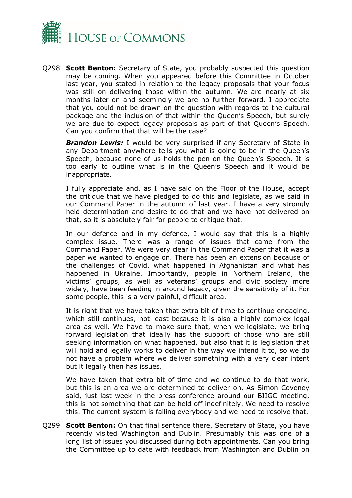

Q298 **Scott Benton:** Secretary of State, you probably suspected this question may be coming. When you appeared before this Committee in October last year, you stated in relation to the legacy proposals that your focus was still on delivering those within the autumn. We are nearly at six months later on and seemingly we are no further forward. I appreciate that you could not be drawn on the question with regards to the cultural package and the inclusion of that within the Queen's Speech, but surely we are due to expect legacy proposals as part of that Queen's Speech. Can you confirm that that will be the case?

**Brandon Lewis:** I would be very surprised if any Secretary of State in any Department anywhere tells you what is going to be in the Queen's Speech, because none of us holds the pen on the Queen's Speech. It is too early to outline what is in the Queen's Speech and it would be inappropriate.

I fully appreciate and, as I have said on the Floor of the House, accept the critique that we have pledged to do this and legislate, as we said in our Command Paper in the autumn of last year. I have a very strongly held determination and desire to do that and we have not delivered on that, so it is absolutely fair for people to critique that.

In our defence and in my defence, I would say that this is a highly complex issue. There was a range of issues that came from the Command Paper. We were very clear in the Command Paper that it was a paper we wanted to engage on. There has been an extension because of the challenges of Covid, what happened in Afghanistan and what has happened in Ukraine. Importantly, people in Northern Ireland, the victims' groups, as well as veterans' groups and civic society more widely, have been feeding in around legacy, given the sensitivity of it. For some people, this is a very painful, difficult area.

It is right that we have taken that extra bit of time to continue engaging, which still continues, not least because it is also a highly complex legal area as well. We have to make sure that, when we legislate, we bring forward legislation that ideally has the support of those who are still seeking information on what happened, but also that it is legislation that will hold and legally works to deliver in the way we intend it to, so we do not have a problem where we deliver something with a very clear intent but it legally then has issues.

We have taken that extra bit of time and we continue to do that work, but this is an area we are determined to deliver on. As Simon Coveney said, just last week in the press conference around our BIIGC meeting, this is not something that can be held off indefinitely. We need to resolve this. The current system is failing everybody and we need to resolve that.

Q299 **Scott Benton:** On that final sentence there, Secretary of State, you have recently visited Washington and Dublin. Presumably this was one of a long list of issues you discussed during both appointments. Can you bring the Committee up to date with feedback from Washington and Dublin on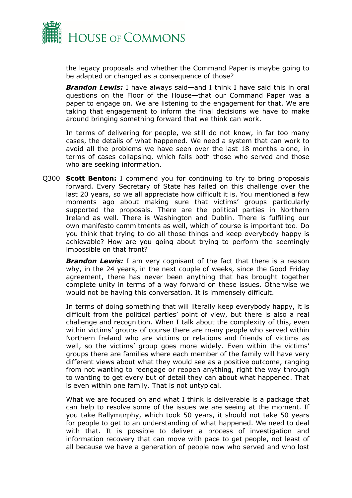

the legacy proposals and whether the Command Paper is maybe going to be adapted or changed as a consequence of those?

*Brandon Lewis:* I have always said—and I think I have said this in oral questions on the Floor of the House—that our Command Paper was a paper to engage on. We are listening to the engagement for that. We are taking that engagement to inform the final decisions we have to make around bringing something forward that we think can work.

In terms of delivering for people, we still do not know, in far too many cases, the details of what happened. We need a system that can work to avoid all the problems we have seen over the last 18 months alone, in terms of cases collapsing, which fails both those who served and those who are seeking information.

Q300 **Scott Benton:** I commend you for continuing to try to bring proposals forward. Every Secretary of State has failed on this challenge over the last 20 years, so we all appreciate how difficult it is. You mentioned a few moments ago about making sure that victims' groups particularly supported the proposals. There are the political parties in Northern Ireland as well. There is Washington and Dublin. There is fulfilling our own manifesto commitments as well, which of course is important too. Do you think that trying to do all those things and keep everybody happy is achievable? How are you going about trying to perform the seemingly impossible on that front?

*Brandon Lewis:* I am very cognisant of the fact that there is a reason why, in the 24 years, in the next couple of weeks, since the Good Friday agreement, there has never been anything that has brought together complete unity in terms of a way forward on these issues. Otherwise we would not be having this conversation. It is immensely difficult.

In terms of doing something that will literally keep everybody happy, it is difficult from the political parties' point of view, but there is also a real challenge and recognition. When I talk about the complexity of this, even within victims' groups of course there are many people who served within Northern Ireland who are victims or relations and friends of victims as well, so the victims' group goes more widely. Even within the victims' groups there are families where each member of the family will have very different views about what they would see as a positive outcome, ranging from not wanting to reengage or reopen anything, right the way through to wanting to get every but of detail they can about what happened. That is even within one family. That is not untypical.

What we are focused on and what I think is deliverable is a package that can help to resolve some of the issues we are seeing at the moment. If you take Ballymurphy, which took 50 years, it should not take 50 years for people to get to an understanding of what happened. We need to deal with that. It is possible to deliver a process of investigation and information recovery that can move with pace to get people, not least of all because we have a generation of people now who served and who lost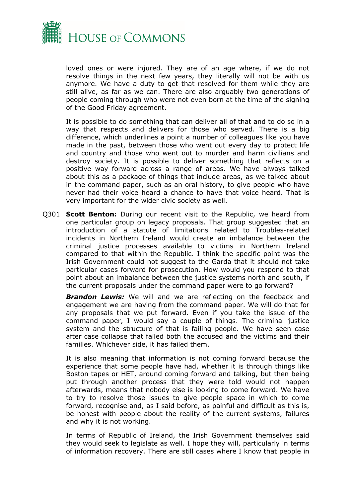

loved ones or were injured. They are of an age where, if we do not resolve things in the next few years, they literally will not be with us anymore. We have a duty to get that resolved for them while they are still alive, as far as we can. There are also arguably two generations of people coming through who were not even born at the time of the signing of the Good Friday agreement.

It is possible to do something that can deliver all of that and to do so in a way that respects and delivers for those who served. There is a big difference, which underlines a point a number of colleagues like you have made in the past, between those who went out every day to protect life and country and those who went out to murder and harm civilians and destroy society. It is possible to deliver something that reflects on a positive way forward across a range of areas. We have always talked about this as a package of things that include areas, as we talked about in the command paper, such as an oral history, to give people who have never had their voice heard a chance to have that voice heard. That is very important for the wider civic society as well.

Q301 **Scott Benton:** During our recent visit to the Republic, we heard from one particular group on legacy proposals. That group suggested that an introduction of a statute of limitations related to Troubles-related incidents in Northern Ireland would create an imbalance between the criminal justice processes available to victims in Northern Ireland compared to that within the Republic. I think the specific point was the Irish Government could not suggest to the Garda that it should not take particular cases forward for prosecution. How would you respond to that point about an imbalance between the justice systems north and south, if the current proposals under the command paper were to go forward?

*Brandon Lewis:* We will and we are reflecting on the feedback and engagement we are having from the command paper. We will do that for any proposals that we put forward. Even if you take the issue of the command paper, I would say a couple of things. The criminal justice system and the structure of that is failing people. We have seen case after case collapse that failed both the accused and the victims and their families. Whichever side, it has failed them.

It is also meaning that information is not coming forward because the experience that some people have had, whether it is through things like Boston tapes or HET, around coming forward and talking, but then being put through another process that they were told would not happen afterwards, means that nobody else is looking to come forward. We have to try to resolve those issues to give people space in which to come forward, recognise and, as I said before, as painful and difficult as this is, be honest with people about the reality of the current systems, failures and why it is not working.

In terms of Republic of Ireland, the Irish Government themselves said they would seek to legislate as well. I hope they will, particularly in terms of information recovery. There are still cases where I know that people in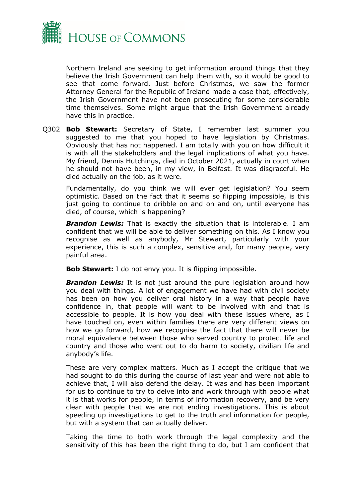

Northern Ireland are seeking to get information around things that they believe the Irish Government can help them with, so it would be good to see that come forward. Just before Christmas, we saw the former Attorney General for the Republic of Ireland made a case that, effectively, the Irish Government have not been prosecuting for some considerable time themselves. Some might argue that the Irish Government already have this in practice.

Q302 **Bob Stewart:** Secretary of State, I remember last summer you suggested to me that you hoped to have legislation by Christmas. Obviously that has not happened. I am totally with you on how difficult it is with all the stakeholders and the legal implications of what you have. My friend, Dennis Hutchings, died in October 2021, actually in court when he should not have been, in my view, in Belfast. It was disgraceful. He died actually on the job, as it were.

Fundamentally, do you think we will ever get legislation? You seem optimistic. Based on the fact that it seems so flipping impossible, is this just going to continue to dribble on and on and on, until everyone has died, of course, which is happening?

*Brandon Lewis:* That is exactly the situation that is intolerable. I am confident that we will be able to deliver something on this. As I know you recognise as well as anybody, Mr Stewart, particularly with your experience, this is such a complex, sensitive and, for many people, very painful area.

**Bob Stewart:** I do not envy you. It is flipping impossible.

**Brandon Lewis:** It is not just around the pure legislation around how you deal with things. A lot of engagement we have had with civil society has been on how you deliver oral history in a way that people have confidence in, that people will want to be involved with and that is accessible to people. It is how you deal with these issues where, as I have touched on, even within families there are very different views on how we go forward, how we recognise the fact that there will never be moral equivalence between those who served country to protect life and country and those who went out to do harm to society, civilian life and anybody's life.

These are very complex matters. Much as I accept the critique that we had sought to do this during the course of last year and were not able to achieve that, I will also defend the delay. It was and has been important for us to continue to try to delve into and work through with people what it is that works for people, in terms of information recovery, and be very clear with people that we are not ending investigations. This is about speeding up investigations to get to the truth and information for people, but with a system that can actually deliver.

Taking the time to both work through the legal complexity and the sensitivity of this has been the right thing to do, but I am confident that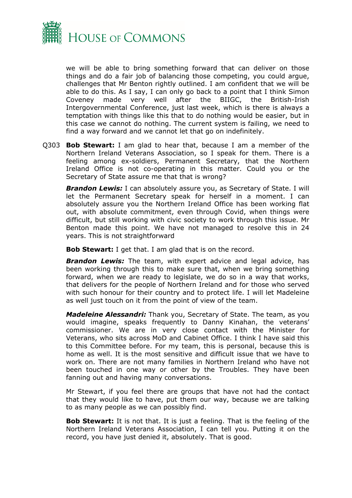

we will be able to bring something forward that can deliver on those things and do a fair job of balancing those competing, you could argue, challenges that Mr Benton rightly outlined. I am confident that we will be able to do this. As I say, I can only go back to a point that I think Simon Coveney made very well after the BIIGC, the British-Irish Intergovernmental Conference, just last week, which is there is always a temptation with things like this that to do nothing would be easier, but in this case we cannot do nothing. The current system is failing, we need to find a way forward and we cannot let that go on indefinitely.

Q303 **Bob Stewart:** I am glad to hear that, because I am a member of the Northern Ireland Veterans Association, so I speak for them. There is a feeling among ex-soldiers, Permanent Secretary, that the Northern Ireland Office is not co-operating in this matter. Could you or the Secretary of State assure me that that is wrong?

**Brandon Lewis:** I can absolutely assure you, as Secretary of State. I will let the Permanent Secretary speak for herself in a moment. I can absolutely assure you the Northern Ireland Office has been working flat out, with absolute commitment, even through Covid, when things were difficult, but still working with civic society to work through this issue. Mr Benton made this point. We have not managed to resolve this in 24 years. This is not straightforward

**Bob Stewart:** I get that. I am glad that is on the record.

**Brandon Lewis:** The team, with expert advice and legal advice, has been working through this to make sure that, when we bring something forward, when we are ready to legislate, we do so in a way that works, that delivers for the people of Northern Ireland and for those who served with such honour for their country and to protect life. I will let Madeleine as well just touch on it from the point of view of the team.

*Madeleine Alessandri:* Thank you, Secretary of State. The team, as you would imagine, speaks frequently to Danny Kinahan, the veterans' commissioner. We are in very close contact with the Minister for Veterans, who sits across MoD and Cabinet Office. I think I have said this to this Committee before. For my team, this is personal, because this is home as well. It is the most sensitive and difficult issue that we have to work on. There are not many families in Northern Ireland who have not been touched in one way or other by the Troubles. They have been fanning out and having many conversations.

Mr Stewart, if you feel there are groups that have not had the contact that they would like to have, put them our way, because we are talking to as many people as we can possibly find.

**Bob Stewart:** It is not that. It is just a feeling. That is the feeling of the Northern Ireland Veterans Association, I can tell you. Putting it on the record, you have just denied it, absolutely. That is good.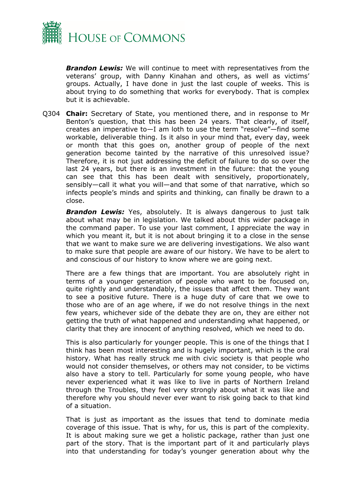

*Brandon Lewis:* We will continue to meet with representatives from the veterans' group, with Danny Kinahan and others, as well as victims' groups. Actually, I have done in just the last couple of weeks. This is about trying to do something that works for everybody. That is complex but it is achievable.

Q304 **Chair:** Secretary of State, you mentioned there, and in response to Mr Benton's question, that this has been 24 years. That clearly, of itself, creates an imperative to—I am loth to use the term "resolve"—find some workable, deliverable thing. Is it also in your mind that, every day, week or month that this goes on, another group of people of the next generation become tainted by the narrative of this unresolved issue? Therefore, it is not just addressing the deficit of failure to do so over the last 24 years, but there is an investment in the future: that the young can see that this has been dealt with sensitively, proportionately, sensibly—call it what you will—and that some of that narrative, which so infects people's minds and spirits and thinking, can finally be drawn to a close.

*Brandon Lewis:* Yes, absolutely. It is always dangerous to just talk about what may be in legislation. We talked about this wider package in the command paper. To use your last comment, I appreciate the way in which you meant it, but it is not about bringing it to a close in the sense that we want to make sure we are delivering investigations. We also want to make sure that people are aware of our history. We have to be alert to and conscious of our history to know where we are going next.

There are a few things that are important. You are absolutely right in terms of a younger generation of people who want to be focused on, quite rightly and understandably, the issues that affect them. They want to see a positive future. There is a huge duty of care that we owe to those who are of an age where, if we do not resolve things in the next few years, whichever side of the debate they are on, they are either not getting the truth of what happened and understanding what happened, or clarity that they are innocent of anything resolved, which we need to do.

This is also particularly for younger people. This is one of the things that I think has been most interesting and is hugely important, which is the oral history. What has really struck me with civic society is that people who would not consider themselves, or others may not consider, to be victims also have a story to tell. Particularly for some young people, who have never experienced what it was like to live in parts of Northern Ireland through the Troubles, they feel very strongly about what it was like and therefore why you should never ever want to risk going back to that kind of a situation.

That is just as important as the issues that tend to dominate media coverage of this issue. That is why, for us, this is part of the complexity. It is about making sure we get a holistic package, rather than just one part of the story. That is the important part of it and particularly plays into that understanding for today's younger generation about why the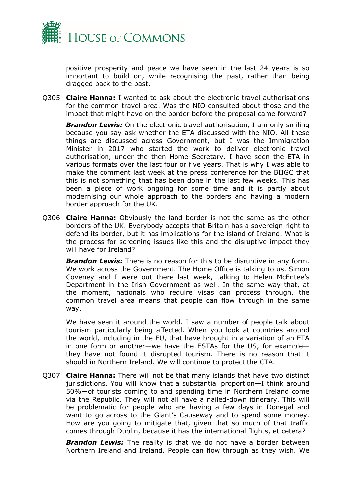

positive prosperity and peace we have seen in the last 24 years is so important to build on, while recognising the past, rather than being dragged back to the past.

Q305 **Claire Hanna:** I wanted to ask about the electronic travel authorisations for the common travel area. Was the NIO consulted about those and the impact that might have on the border before the proposal came forward?

*Brandon Lewis:* On the electronic travel authorisation, I am only smiling because you say ask whether the ETA discussed with the NIO. All these things are discussed across Government, but I was the Immigration Minister in 2017 who started the work to deliver electronic travel authorisation, under the then Home Secretary. I have seen the ETA in various formats over the last four or five years. That is why I was able to make the comment last week at the press conference for the BIIGC that this is not something that has been done in the last few weeks. This has been a piece of work ongoing for some time and it is partly about modernising our whole approach to the borders and having a modern border approach for the UK.

Q306 **Claire Hanna:** Obviously the land border is not the same as the other borders of the UK. Everybody accepts that Britain has a sovereign right to defend its border, but it has implications for the island of Ireland. What is the process for screening issues like this and the disruptive impact they will have for Ireland?

*Brandon Lewis:* There is no reason for this to be disruptive in any form. We work across the Government. The Home Office is talking to us. Simon Coveney and I were out there last week, talking to Helen McEntee's Department in the Irish Government as well. In the same way that, at the moment, nationals who require visas can process through, the common travel area means that people can flow through in the same way.

We have seen it around the world. I saw a number of people talk about tourism particularly being affected. When you look at countries around the world, including in the EU, that have brought in a variation of an ETA in one form or another—we have the ESTAs for the US, for example they have not found it disrupted tourism. There is no reason that it should in Northern Ireland. We will continue to protect the CTA.

Q307 **Claire Hanna:** There will not be that many islands that have two distinct jurisdictions. You will know that a substantial proportion—I think around 50%—of tourists coming to and spending time in Northern Ireland come via the Republic. They will not all have a nailed-down itinerary. This will be problematic for people who are having a few days in Donegal and want to go across to the Giant's Causeway and to spend some money. How are you going to mitigate that, given that so much of that traffic comes through Dublin, because it has the international flights, et cetera?

**Brandon Lewis:** The reality is that we do not have a border between Northern Ireland and Ireland. People can flow through as they wish. We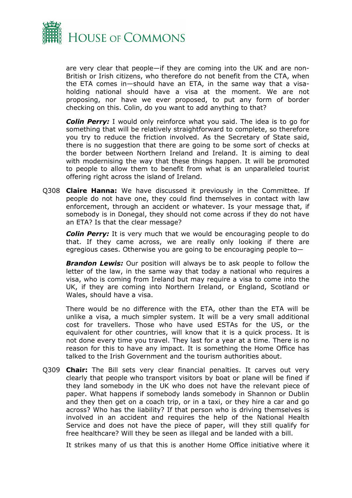

are very clear that people—if they are coming into the UK and are non-British or Irish citizens, who therefore do not benefit from the CTA, when the ETA comes in—should have an ETA, in the same way that a visaholding national should have a visa at the moment. We are not proposing, nor have we ever proposed, to put any form of border checking on this. Colin, do you want to add anything to that?

**Colin Perry:** I would only reinforce what you said. The idea is to go for something that will be relatively straightforward to complete, so therefore you try to reduce the friction involved. As the Secretary of State said, there is no suggestion that there are going to be some sort of checks at the border between Northern Ireland and Ireland. It is aiming to deal with modernising the way that these things happen. It will be promoted to people to allow them to benefit from what is an unparalleled tourist offering right across the island of Ireland.

Q308 **Claire Hanna:** We have discussed it previously in the Committee. If people do not have one, they could find themselves in contact with law enforcement, through an accident or whatever. Is your message that, if somebody is in Donegal, they should not come across if they do not have an ETA? Is that the clear message?

*Colin Perry:* It is very much that we would be encouraging people to do that. If they came across, we are really only looking if there are egregious cases. Otherwise you are going to be encouraging people to—

*Brandon Lewis:* Our position will always be to ask people to follow the letter of the law, in the same way that today a national who requires a visa, who is coming from Ireland but may require a visa to come into the UK, if they are coming into Northern Ireland, or England, Scotland or Wales, should have a visa.

There would be no difference with the ETA, other than the ETA will be unlike a visa, a much simpler system. It will be a very small additional cost for travellers. Those who have used ESTAs for the US, or the equivalent for other countries, will know that it is a quick process. It is not done every time you travel. They last for a year at a time. There is no reason for this to have any impact. It is something the Home Office has talked to the Irish Government and the tourism authorities about.

Q309 **Chair:** The Bill sets very clear financial penalties. It carves out very clearly that people who transport visitors by boat or plane will be fined if they land somebody in the UK who does not have the relevant piece of paper. What happens if somebody lands somebody in Shannon or Dublin and they then get on a coach trip, or in a taxi, or they hire a car and go across? Who has the liability? If that person who is driving themselves is involved in an accident and requires the help of the National Health Service and does not have the piece of paper, will they still qualify for free healthcare? Will they be seen as illegal and be landed with a bill.

It strikes many of us that this is another Home Office initiative where it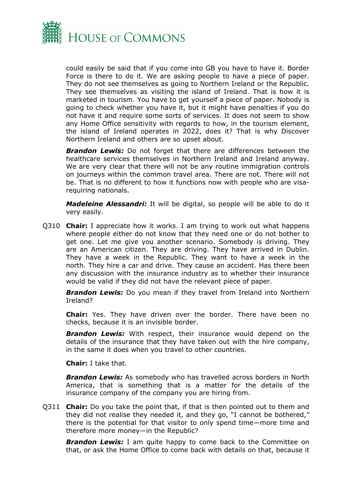

could easily be said that if you come into GB you have to have it. Border Force is there to do it. We are asking people to have a piece of paper. They do not see themselves as going to Northern Ireland or the Republic. They see themselves as visiting the island of Ireland. That is how it is marketed in tourism. You have to get yourself a piece of paper. Nobody is going to check whether you have it, but it might have penalties if you do not have it and require some sorts of services. It does not seem to show any Home Office sensitivity with regards to how, in the tourism element, the island of Ireland operates in 2022, does it? That is why Discover Northern Ireland and others are so upset about.

*Brandon Lewis:* Do not forget that there are differences between the healthcare services themselves in Northern Ireland and Ireland anyway. We are very clear that there will not be any routine immigration controls on journeys within the common travel area. There are not. There will not be. That is no different to how it functions now with people who are visarequiring nationals.

*Madeleine Alessandri:* It will be digital, so people will be able to do it very easily.

Q310 **Chair:** I appreciate how it works. I am trying to work out what happens where people either do not know that they need one or do not bother to get one. Let me give you another scenario. Somebody is driving. They are an American citizen. They are driving. They have arrived in Dublin. They have a week in the Republic. They want to have a week in the north. They hire a car and drive. They cause an accident. Has there been any discussion with the insurance industry as to whether their insurance would be valid if they did not have the relevant piece of paper.

*Brandon Lewis:* Do you mean if they travel from Ireland into Northern Ireland?

**Chair:** Yes. They have driven over the border. There have been no checks, because it is an invisible border.

*Brandon Lewis:* With respect, their insurance would depend on the details of the insurance that they have taken out with the hire company, in the same it does when you travel to other countries.

**Chair:** I take that.

*Brandon Lewis:* As somebody who has travelled across borders in North America, that is something that is a matter for the details of the insurance company of the company you are hiring from.

Q311 **Chair:** Do you take the point that, if that is then pointed out to them and they did not realise they needed it, and they go, "I cannot be bothered," there is the potential for that visitor to only spend time—more time and therefore more money—in the Republic?

*Brandon Lewis:* I am quite happy to come back to the Committee on that, or ask the Home Office to come back with details on that, because it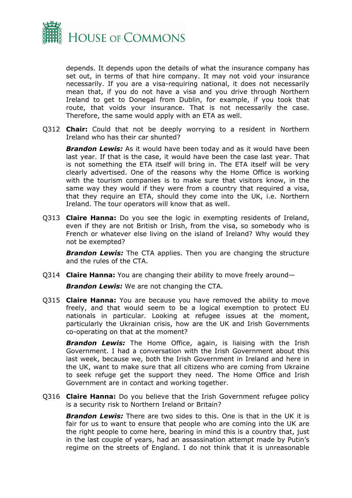

depends. It depends upon the details of what the insurance company has set out, in terms of that hire company. It may not void your insurance necessarily. If you are a visa-requiring national, it does not necessarily mean that, if you do not have a visa and you drive through Northern Ireland to get to Donegal from Dublin, for example, if you took that route, that voids your insurance. That is not necessarily the case. Therefore, the same would apply with an ETA as well.

Q312 **Chair:** Could that not be deeply worrying to a resident in Northern Ireland who has their car shunted?

*Brandon Lewis:* As it would have been today and as it would have been last year. If that is the case, it would have been the case last year. That is not something the ETA itself will bring in. The ETA itself will be very clearly advertised. One of the reasons why the Home Office is working with the tourism companies is to make sure that visitors know, in the same way they would if they were from a country that required a visa, that they require an ETA, should they come into the UK, i.e. Northern Ireland. The tour operators will know that as well.

Q313 **Claire Hanna:** Do you see the logic in exempting residents of Ireland, even if they are not British or Irish, from the visa, so somebody who is French or whatever else living on the island of Ireland? Why would they not be exempted?

*Brandon Lewis:* The CTA applies. Then you are changing the structure and the rules of the CTA.

Q314 **Claire Hanna:** You are changing their ability to move freely around—

*Brandon Lewis:* We are not changing the CTA.

Q315 **Claire Hanna:** You are because you have removed the ability to move freely, and that would seem to be a logical exemption to protect EU nationals in particular. Looking at refugee issues at the moment, particularly the Ukrainian crisis, how are the UK and Irish Governments co-operating on that at the moment?

*Brandon Lewis:* The Home Office, again, is liaising with the Irish Government. I had a conversation with the Irish Government about this last week, because we, both the Irish Government in Ireland and here in the UK, want to make sure that all citizens who are coming from Ukraine to seek refuge get the support they need. The Home Office and Irish Government are in contact and working together.

Q316 **Claire Hanna:** Do you believe that the Irish Government refugee policy is a security risk to Northern Ireland or Britain?

*Brandon Lewis:* There are two sides to this. One is that in the UK it is fair for us to want to ensure that people who are coming into the UK are the right people to come here, bearing in mind this is a country that, just in the last couple of years, had an assassination attempt made by Putin's regime on the streets of England. I do not think that it is unreasonable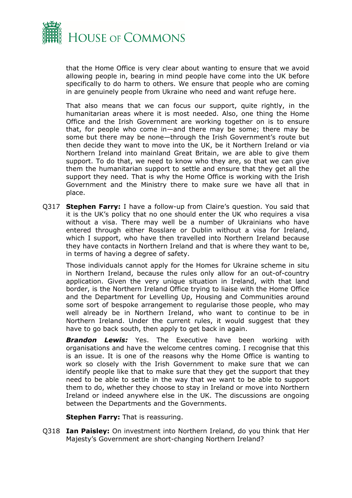

that the Home Office is very clear about wanting to ensure that we avoid allowing people in, bearing in mind people have come into the UK before specifically to do harm to others. We ensure that people who are coming in are genuinely people from Ukraine who need and want refuge here.

That also means that we can focus our support, quite rightly, in the humanitarian areas where it is most needed. Also, one thing the Home Office and the Irish Government are working together on is to ensure that, for people who come in—and there may be some; there may be some but there may be none—through the Irish Government's route but then decide they want to move into the UK, be it Northern Ireland or via Northern Ireland into mainland Great Britain, we are able to give them support. To do that, we need to know who they are, so that we can give them the humanitarian support to settle and ensure that they get all the support they need. That is why the Home Office is working with the Irish Government and the Ministry there to make sure we have all that in place.

Q317 **Stephen Farry:** I have a follow-up from Claire's question. You said that it is the UK's policy that no one should enter the UK who requires a visa without a visa. There may well be a number of Ukrainians who have entered through either Rosslare or Dublin without a visa for Ireland, which I support, who have then travelled into Northern Ireland because they have contacts in Northern Ireland and that is where they want to be, in terms of having a degree of safety.

Those individuals cannot apply for the Homes for Ukraine scheme in situ in Northern Ireland, because the rules only allow for an out-of-country application. Given the very unique situation in Ireland, with that land border, is the Northern Ireland Office trying to liaise with the Home Office and the Department for Levelling Up, Housing and Communities around some sort of bespoke arrangement to regularise those people, who may well already be in Northern Ireland, who want to continue to be in Northern Ireland. Under the current rules, it would suggest that they have to go back south, then apply to get back in again.

*Brandon Lewis:* Yes. The Executive have been working with organisations and have the welcome centres coming. I recognise that this is an issue. It is one of the reasons why the Home Office is wanting to work so closely with the Irish Government to make sure that we can identify people like that to make sure that they get the support that they need to be able to settle in the way that we want to be able to support them to do, whether they choose to stay in Ireland or move into Northern Ireland or indeed anywhere else in the UK. The discussions are ongoing between the Departments and the Governments.

**Stephen Farry:** That is reassuring.

Q318 **Ian Paisley:** On investment into Northern Ireland, do you think that Her Majesty's Government are short-changing Northern Ireland?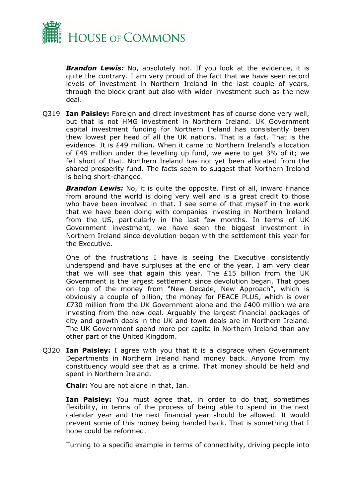

**Brandon Lewis:** No, absolutely not. If you look at the evidence, it is quite the contrary. I am very proud of the fact that we have seen record levels of investment in Northern Ireland in the last couple of years, through the block grant but also with wider investment such as the new deal.

Q319 **Ian Paisley:** Foreign and direct investment has of course done very well, but that is not HMG investment in Northern Ireland. UK Government capital investment funding for Northern Ireland has consistently been thew lowest per head of all the UK nations. That is a fact. That is the evidence. It is £49 million. When it came to Northern Ireland's allocation of £49 million under the levelling up fund, we were to get 3% of it; we fell short of that. Northern Ireland has not yet been allocated from the shared prosperity fund. The facts seem to suggest that Northern Ireland is being short-changed.

**Brandon Lewis:** No, it is quite the opposite. First of all, inward finance from around the world is doing very well and is a great credit to those who have been involved in that. I see some of that myself in the work that we have been doing with companies investing in Northern Ireland from the US, particularly in the last few months. In terms of UK Government investment, we have seen the biggest investment in Northern Ireland since devolution began with the settlement this year for the Executive.

One of the frustrations I have is seeing the Executive consistently underspend and have surpluses at the end of the year. I am very clear that we will see that again this year. The £15 billion from the UK Government is the largest settlement since devolution began. That goes on top of the money from "New Decade, New Approach", which is obviously a couple of billion, the money for PEACE PLUS, which is over £730 million from the UK Government alone and the £400 million we are investing from the new deal. Arguably the largest financial packages of city and growth deals in the UK and town deals are in Northern Ireland. The UK Government spend more per capita in Northern Ireland than any other part of the United Kingdom.

Q320 **Ian Paisley:** I agree with you that it is a disgrace when Government Departments in Northern Ireland hand money back. Anyone from my constituency would see that as a crime. That money should be held and spent in Northern Ireland.

**Chair:** You are not alone in that, Ian.

**Ian Paisley:** You must agree that, in order to do that, sometimes flexibility, in terms of the process of being able to spend in the next calendar year and the next financial year should be allowed. It would prevent some of this money being handed back. That is something that I hope could be reformed.

Turning to a specific example in terms of connectivity, driving people into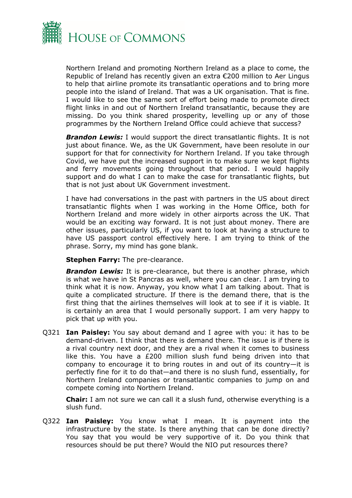

Northern Ireland and promoting Northern Ireland as a place to come, the Republic of Ireland has recently given an extra €200 million to Aer Lingus to help that airline promote its transatlantic operations and to bring more people into the island of Ireland. That was a UK organisation. That is fine. I would like to see the same sort of effort being made to promote direct flight links in and out of Northern Ireland transatlantic, because they are missing. Do you think shared prosperity, levelling up or any of those programmes by the Northern Ireland Office could achieve that success?

**Brandon Lewis:** I would support the direct transatlantic flights. It is not just about finance. We, as the UK Government, have been resolute in our support for that for connectivity for Northern Ireland. If you take through Covid, we have put the increased support in to make sure we kept flights and ferry movements going throughout that period. I would happily support and do what I can to make the case for transatlantic flights, but that is not just about UK Government investment.

I have had conversations in the past with partners in the US about direct transatlantic flights when I was working in the Home Office, both for Northern Ireland and more widely in other airports across the UK. That would be an exciting way forward. It is not just about money. There are other issues, particularly US, if you want to look at having a structure to have US passport control effectively here. I am trying to think of the phrase. Sorry, my mind has gone blank.

**Stephen Farry:** The pre-clearance.

**Brandon Lewis:** It is pre-clearance, but there is another phrase, which is what we have in St Pancras as well, where you can clear. I am trying to think what it is now. Anyway, you know what I am talking about. That is quite a complicated structure. If there is the demand there, that is the first thing that the airlines themselves will look at to see if it is viable. It is certainly an area that I would personally support. I am very happy to pick that up with you.

Q321 **Ian Paisley:** You say about demand and I agree with you: it has to be demand-driven. I think that there is demand there. The issue is if there is a rival country next door, and they are a rival when it comes to business like this. You have a £200 million slush fund being driven into that company to encourage it to bring routes in and out of its country—it is perfectly fine for it to do that—and there is no slush fund, essentially, for Northern Ireland companies or transatlantic companies to jump on and compete coming into Northern Ireland.

**Chair:** I am not sure we can call it a slush fund, otherwise everything is a slush fund.

Q322 **Ian Paisley:** You know what I mean. It is payment into the infrastructure by the state. Is there anything that can be done directly? You say that you would be very supportive of it. Do you think that resources should be put there? Would the NIO put resources there?